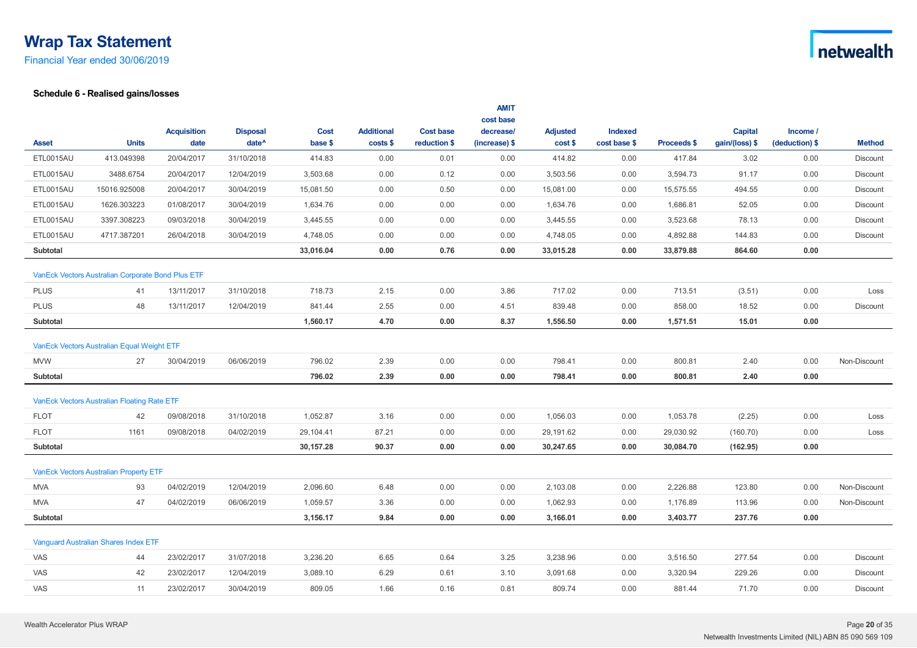Financial Year ended 30/06/2019

|                  |                                                          |                            |                                      |                        |                               |                                  | <b>AMIT</b>                |                            |                         |                    |                                  |                            |                 |
|------------------|----------------------------------------------------------|----------------------------|--------------------------------------|------------------------|-------------------------------|----------------------------------|----------------------------|----------------------------|-------------------------|--------------------|----------------------------------|----------------------------|-----------------|
|                  |                                                          |                            |                                      |                        |                               |                                  | cost base                  |                            |                         |                    |                                  |                            |                 |
| <b>Asset</b>     | <b>Units</b>                                             | <b>Acquisition</b><br>date | <b>Disposal</b><br>date <sup>^</sup> | <b>Cost</b><br>base \$ | <b>Additional</b><br>costs \$ | <b>Cost base</b><br>reduction \$ | decrease/<br>(increase) \$ | <b>Adjusted</b><br>cost \$ | Indexed<br>cost base \$ | <b>Proceeds \$</b> | <b>Capital</b><br>gain/(loss) \$ | Income /<br>(deduction) \$ | <b>Method</b>   |
| ETL0015AU        | 413.049398                                               | 20/04/2017                 | 31/10/2018                           | 414.83                 | 0.00                          | 0.01                             | 0.00                       | 414.82                     | 0.00                    | 417.84             | 3.02                             | 0.00                       | Discount        |
| <b>ETL0015AU</b> | 3488.6754                                                | 20/04/2017                 | 12/04/2019                           | 3,503.68               | 0.00                          | 0.12                             | 0.00                       | 3,503.56                   | 0.00                    | 3,594.73           | 91.17                            | 0.00                       | <b>Discount</b> |
| ETL0015AU        | 15016.925008                                             | 20/04/2017                 | 30/04/2019                           | 15,081.50              | 0.00                          | 0.50                             | 0.00                       | 15,081.00                  | 0.00                    | 15,575.55          | 494.55                           | 0.00                       | Discount        |
| ETL0015AU        | 1626.303223                                              | 01/08/2017                 | 30/04/2019                           | 1,634.76               | 0.00                          | 0.00                             | 0.00                       | 1,634.76                   | 0.00                    | 1,686.81           | 52.05                            | 0.00                       | Discount        |
| ETL0015AU        | 3397.308223                                              | 09/03/2018                 | 30/04/2019                           | 3,445.55               | 0.00                          | 0.00                             | 0.00                       | 3,445.55                   | 0.00                    | 3,523.68           | 78.13                            | 0.00                       | Discount        |
| ETL0015AU        | 4717.387201                                              | 26/04/2018                 | 30/04/2019                           | 4,748.05               | 0.00                          | 0.00                             | 0.00                       | 4,748.05                   | 0.00                    | 4,892.88           | 144.83                           | 0.00                       | Discount        |
| Subtotal         |                                                          |                            |                                      | 33,016.04              | 0.00                          | 0.76                             | 0.00                       | 33,015.28                  | 0.00                    | 33,879.88          | 864.60                           | 0.00                       |                 |
|                  | <b>VanEck Vectors Australian Corporate Bond Plus ETF</b> |                            |                                      |                        |                               |                                  |                            |                            |                         |                    |                                  |                            |                 |
| <b>PLUS</b>      | 41                                                       | 13/11/2017                 | 31/10/2018                           | 718.73                 | 2.15                          | 0.00                             | 3.86                       | 717.02                     | 0.00                    | 713.51             | (3.51)                           | 0.00                       | Loss            |
| <b>PLUS</b>      | 48                                                       | 13/11/2017                 | 12/04/2019                           | 841.44                 | 2.55                          | 0.00                             | 4.51                       | 839.48                     | 0.00                    | 858.00             | 18.52                            | 0.00                       | <b>Discount</b> |
| Subtotal         |                                                          |                            |                                      | 1,560.17               | 4.70                          | 0.00                             | 8.37                       | 1,556.50                   | 0.00                    | 1,571.51           | 15.01                            | 0.00                       |                 |
|                  |                                                          |                            |                                      |                        |                               |                                  |                            |                            |                         |                    |                                  |                            |                 |
|                  | VanEck Vectors Australian Equal Weight ETF               |                            |                                      |                        |                               |                                  |                            |                            |                         |                    |                                  |                            |                 |
| <b>MVW</b>       | 27                                                       | 30/04/2019                 | 06/06/2019                           | 796.02                 | 2.39                          | 0.00                             | 0.00                       | 798.41                     | 0.00                    | 800.81             | 2.40                             | 0.00                       | Non-Discount    |
| Subtotal         |                                                          |                            |                                      | 796.02                 | 2.39                          | 0.00                             | 0.00                       | 798.41                     | 0.00                    | 800.81             | 2.40                             | 0.00                       |                 |
|                  | Van Eck Vectors Australian Floating Rate ETF             |                            |                                      |                        |                               |                                  |                            |                            |                         |                    |                                  |                            |                 |
| <b>FLOT</b>      | 42                                                       | 09/08/2018                 | 31/10/2018                           | 1,052.87               | 3.16                          | 0.00                             | 0.00                       | 1,056.03                   | 0.00                    | 1,053.78           | (2.25)                           | 0.00                       | Loss            |
| <b>FLOT</b>      | 1161                                                     | 09/08/2018                 | 04/02/2019                           | 29,104.41              | 87.21                         | 0.00                             | 0.00                       | 29,191.62                  | 0.00                    | 29,030.92          | (160.70)                         | 0.00                       | Loss            |
| Subtotal         |                                                          |                            |                                      | 30,157.28              | 90.37                         | 0.00                             | 0.00                       | 30,247.65                  | 0.00                    | 30,084.70          | (162.95)                         | 0.00                       |                 |
|                  |                                                          |                            |                                      |                        |                               |                                  |                            |                            |                         |                    |                                  |                            |                 |
|                  | VanEck Vectors Australian Property ETF                   |                            |                                      |                        |                               |                                  |                            |                            |                         |                    |                                  |                            |                 |
| <b>MVA</b>       | 93                                                       | 04/02/2019                 | 12/04/2019                           | 2,096.60               | 6.48                          | 0.00                             | 0.00                       | 2,103.08                   | 0.00                    | 2,226.88           | 123.80                           | 0.00                       | Non-Discount    |
| <b>MVA</b>       | 47                                                       | 04/02/2019                 | 06/06/2019                           | 1,059.57               | 3.36                          | 0.00                             | 0.00                       | 1,062.93                   | 0.00                    | 1,176.89           | 113.96                           | 0.00                       | Non-Discount    |
| Subtotal         |                                                          |                            |                                      | 3,156.17               | 9.84                          | 0.00                             | 0.00                       | 3,166.01                   | 0.00                    | 3,403.77           | 237.76                           | 0.00                       |                 |
|                  | <b>Vanquard Australian Shares Index ETF</b>              |                            |                                      |                        |                               |                                  |                            |                            |                         |                    |                                  |                            |                 |
| <b>VAS</b>       | 44                                                       | 23/02/2017                 | 31/07/2018                           | 3,236.20               | 6.65                          | 0.64                             | 3.25                       | 3,238.96                   | 0.00                    | 3,516.50           | 277.54                           | 0.00                       | Discount        |
| VAS              | 42                                                       | 23/02/2017                 | 12/04/2019                           | 3,089.10               | 6.29                          | 0.61                             | 3.10                       | 3,091.68                   | 0.00                    | 3,320.94           | 229.26                           | 0.00                       | Discount        |
| VAS              | 11                                                       | 23/02/2017                 | 30/04/2019                           | 809.05                 | 1.66                          | 0.16                             | 0.81                       | 809.74                     | 0.00                    | 881.44             | 71.70                            | 0.00                       | Discount        |
|                  |                                                          |                            |                                      |                        |                               |                                  |                            |                            |                         |                    |                                  |                            |                 |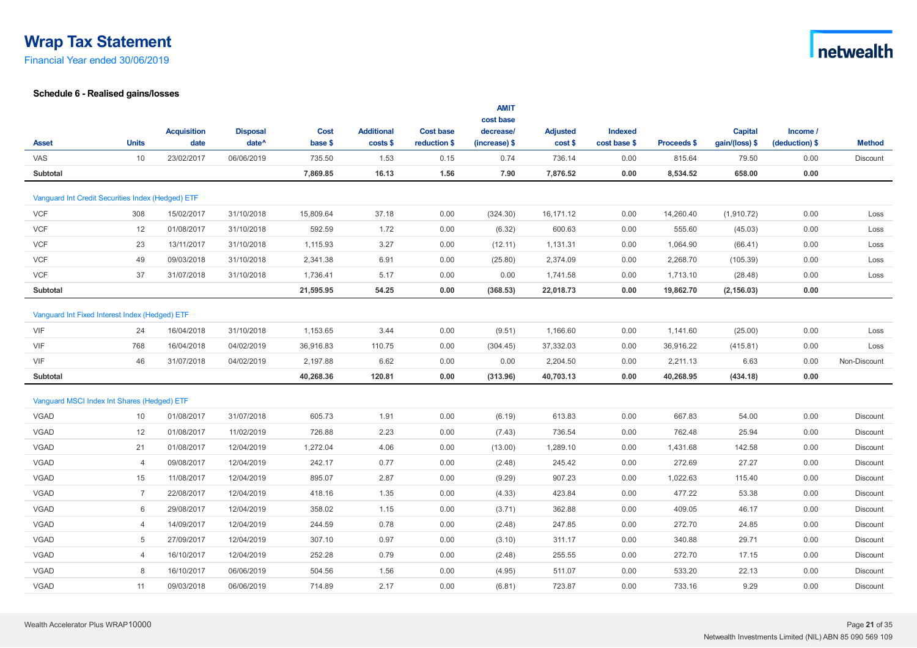Financial Year ended 30/06/2019

|                                                   |                |                    |                   |             |                   |                  | <b>AMIT</b>            |                 |                |             |                |                |               |
|---------------------------------------------------|----------------|--------------------|-------------------|-------------|-------------------|------------------|------------------------|-----------------|----------------|-------------|----------------|----------------|---------------|
|                                                   |                | <b>Acquisition</b> | <b>Disposal</b>   | <b>Cost</b> | <b>Additional</b> | <b>Cost base</b> | cost base<br>decrease/ | <b>Adjusted</b> | <b>Indexed</b> |             | <b>Capital</b> | Income /       |               |
| <b>Asset</b>                                      | <b>Units</b>   | date               | date <sup>^</sup> | base \$     | costs \$          | reduction \$     | (increase) \$          | cost \$         | cost base \$   | Proceeds \$ | gain/(loss) \$ | (deduction) \$ | <b>Method</b> |
| VAS                                               | 10             | 23/02/2017         | 06/06/2019        | 735.50      | 1.53              | 0.15             | 0.74                   | 736.14          | 0.00           | 815.64      | 79.50          | 0.00           | Discount      |
| Subtotal                                          |                |                    |                   | 7,869.85    | 16.13             | 1.56             | 7.90                   | 7,876.52        | 0.00           | 8,534.52    | 658.00         | 0.00           |               |
|                                                   |                |                    |                   |             |                   |                  |                        |                 |                |             |                |                |               |
| Vanguard Int Credit Securities Index (Hedged) ETF |                |                    |                   |             |                   |                  |                        |                 |                |             |                |                |               |
| <b>VCF</b>                                        | 308            | 15/02/2017         | 31/10/2018        | 15,809.64   | 37.18             | 0.00             | (324.30)               | 16, 171.12      | 0.00           | 14,260.40   | (1,910.72)     | 0.00           | Loss          |
| <b>VCF</b>                                        | 12             | 01/08/2017         | 31/10/2018        | 592.59      | 1.72              | 0.00             | (6.32)                 | 600.63          | 0.00           | 555.60      | (45.03)        | 0.00           | Loss          |
| <b>VCF</b>                                        | 23             | 13/11/2017         | 31/10/2018        | 1,115.93    | 3.27              | 0.00             | (12.11)                | 1,131.31        | 0.00           | 1,064.90    | (66.41)        | 0.00           | Loss          |
| <b>VCF</b>                                        | 49             | 09/03/2018         | 31/10/2018        | 2,341.38    | 6.91              | 0.00             | (25.80)                | 2,374.09        | 0.00           | 2,268.70    | (105.39)       | 0.00           | Loss          |
| <b>VCF</b>                                        | 37             | 31/07/2018         | 31/10/2018        | 1,736.41    | 5.17              | 0.00             | 0.00                   | 1,741.58        | 0.00           | 1,713.10    | (28.48)        | 0.00           | Loss          |
| Subtotal                                          |                |                    |                   | 21,595.95   | 54.25             | 0.00             | (368.53)               | 22,018.73       | 0.00           | 19,862.70   | (2, 156.03)    | 0.00           |               |
|                                                   |                |                    |                   |             |                   |                  |                        |                 |                |             |                |                |               |
| Vanguard Int Fixed Interest Index (Hedged) ETF    |                |                    |                   |             |                   |                  |                        |                 |                |             |                |                |               |
| <b>VIF</b>                                        | 24             | 16/04/2018         | 31/10/2018        | 1,153.65    | 3.44              | 0.00             | (9.51)                 | 1,166.60        | 0.00           | 1,141.60    | (25.00)        | 0.00           | Loss          |
| VIF                                               | 768            | 16/04/2018         | 04/02/2019        | 36,916.83   | 110.75            | 0.00             | (304.45)               | 37,332.03       | 0.00           | 36,916.22   | (415.81)       | 0.00           | Loss          |
| <b>VIF</b>                                        | 46             | 31/07/2018         | 04/02/2019        | 2,197.88    | 6.62              | 0.00             | 0.00                   | 2,204.50        | 0.00           | 2,211.13    | 6.63           | 0.00           | Non-Discount  |
| Subtotal                                          |                |                    |                   | 40,268.36   | 120.81            | 0.00             | (313.96)               | 40,703.13       | 0.00           | 40,268.95   | (434.18)       | 0.00           |               |
| Vanguard MSCI Index Int Shares (Hedged) ETF       |                |                    |                   |             |                   |                  |                        |                 |                |             |                |                |               |
| <b>VGAD</b>                                       | 10             | 01/08/2017         | 31/07/2018        | 605.73      | 1.91              | 0.00             | (6.19)                 | 613.83          | 0.00           | 667.83      | 54.00          | 0.00           | Discount      |
| <b>VGAD</b>                                       | 12             | 01/08/2017         | 11/02/2019        | 726.88      | 2.23              | 0.00             | (7.43)                 | 736.54          | 0.00           | 762.48      | 25.94          | 0.00           | Discount      |
| <b>VGAD</b>                                       | 21             | 01/08/2017         | 12/04/2019        | 1,272.04    | 4.06              | 0.00             | (13.00)                | 1,289.10        | 0.00           | 1,431.68    | 142.58         | 0.00           | Discount      |
| <b>VGAD</b>                                       | $\overline{4}$ | 09/08/2017         | 12/04/2019        | 242.17      | 0.77              | 0.00             | (2.48)                 | 245.42          | 0.00           | 272.69      | 27.27          | 0.00           | Discount      |
| <b>VGAD</b>                                       | 15             | 11/08/2017         | 12/04/2019        | 895.07      | 2.87              | 0.00             | (9.29)                 | 907.23          | 0.00           | 1,022.63    | 115.40         | 0.00           | Discount      |
| <b>VGAD</b>                                       | $\overline{7}$ | 22/08/2017         | 12/04/2019        | 418.16      | 1.35              | 0.00             | (4.33)                 | 423.84          | 0.00           | 477.22      | 53.38          | 0.00           | Discount      |
| <b>VGAD</b>                                       | 6              | 29/08/2017         | 12/04/2019        | 358.02      | 1.15              | 0.00             | (3.71)                 | 362.88          | 0.00           | 409.05      | 46.17          | 0.00           | Discount      |
| <b>VGAD</b>                                       | $\overline{4}$ | 14/09/2017         | 12/04/2019        | 244.59      | 0.78              | 0.00             | (2.48)                 | 247.85          | 0.00           | 272.70      | 24.85          | 0.00           | Discount      |
| <b>VGAD</b>                                       | 5              | 27/09/2017         | 12/04/2019        | 307.10      | 0.97              | 0.00             | (3.10)                 | 311.17          | 0.00           | 340.88      | 29.71          | 0.00           | Discount      |
| <b>VGAD</b>                                       | 4              | 16/10/2017         | 12/04/2019        | 252.28      | 0.79              | 0.00             | (2.48)                 | 255.55          | 0.00           | 272.70      | 17.15          | 0.00           | Discount      |
| VGAD                                              | 8              | 16/10/2017         | 06/06/2019        | 504.56      | 1.56              | 0.00             | (4.95)                 | 511.07          | 0.00           | 533.20      | 22.13          | 0.00           | Discount      |
| <b>VGAD</b>                                       | 11             | 09/03/2018         | 06/06/2019        | 714.89      | 2.17              | 0.00             | (6.81)                 | 723.87          | 0.00           | 733.16      | 9.29           | 0.00           | Discount      |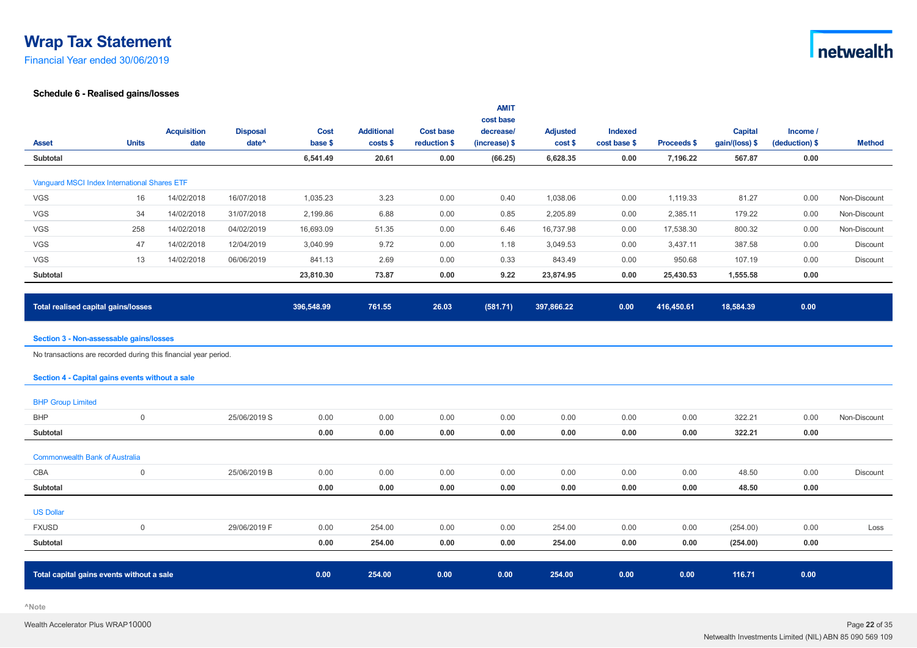Financial Year ended 30/06/2019

|                                                                 |              |                    |                   |             |                   |                  | <b>AMIT</b><br>cost base |                 |              |                    |                |                |               |
|-----------------------------------------------------------------|--------------|--------------------|-------------------|-------------|-------------------|------------------|--------------------------|-----------------|--------------|--------------------|----------------|----------------|---------------|
|                                                                 |              | <b>Acquisition</b> | <b>Disposal</b>   | <b>Cost</b> | <b>Additional</b> | <b>Cost base</b> | decrease/                | <b>Adjusted</b> | Indexed      |                    | Capital        | Income /       |               |
| <b>Asset</b>                                                    | <b>Units</b> | date               | date <sup>^</sup> | base \$     | costs \$          | reduction \$     | (increase) \$            | cost \$         | cost base \$ | <b>Proceeds \$</b> | gain/(loss) \$ | (deduction) \$ | <b>Method</b> |
| Subtotal                                                        |              |                    |                   | 6,541.49    | 20.61             | 0.00             | (66.25)                  | 6,628.35        | 0.00         | 7,196.22           | 567.87         | 0.00           |               |
| Vanguard MSCI Index International Shares ETF                    |              |                    |                   |             |                   |                  |                          |                 |              |                    |                |                |               |
| <b>VGS</b>                                                      | 16           | 14/02/2018         | 16/07/2018        | 1,035.23    | 3.23              | 0.00             | 0.40                     | 1,038.06        | 0.00         | 1,119.33           | 81.27          | 0.00           | Non-Discount  |
| <b>VGS</b>                                                      | 34           | 14/02/2018         | 31/07/2018        | 2,199.86    | 6.88              | 0.00             | 0.85                     | 2,205.89        | 0.00         | 2,385.11           | 179.22         | 0.00           | Non-Discount  |
| VGS                                                             | 258          | 14/02/2018         | 04/02/2019        | 16,693.09   | 51.35             | 0.00             | 6.46                     | 16,737.98       | 0.00         | 17,538.30          | 800.32         | 0.00           | Non-Discount  |
| <b>VGS</b>                                                      | 47           | 14/02/2018         | 12/04/2019        | 3,040.99    | 9.72              | 0.00             | 1.18                     | 3,049.53        | 0.00         | 3,437.11           | 387.58         | 0.00           | Discount      |
| VGS                                                             | 13           | 14/02/2018         | 06/06/2019        | 841.13      | 2.69              | 0.00             | 0.33                     | 843.49          | 0.00         | 950.68             | 107.19         | 0.00           | Discount      |
| Subtotal                                                        |              |                    |                   | 23,810.30   | 73.87             | 0.00             | 9.22                     | 23,874.95       | 0.00         | 25,430.53          | 1,555.58       | 0.00           |               |
|                                                                 |              |                    |                   |             |                   |                  |                          |                 |              |                    |                |                |               |
| Total realised capital gains/losses                             |              |                    |                   | 396,548.99  | 761.55            | 26.03            | (581.71)                 | 397,866.22      | 0.00         | 416,450.61         | 18,584.39      | 0.00           |               |
| Section 3 - Non-assessable gains/losses                         |              |                    |                   |             |                   |                  |                          |                 |              |                    |                |                |               |
| No transactions are recorded during this financial year period. |              |                    |                   |             |                   |                  |                          |                 |              |                    |                |                |               |
| Section 4 - Capital gains events without a sale                 |              |                    |                   |             |                   |                  |                          |                 |              |                    |                |                |               |
| <b>BHP Group Limited</b>                                        |              |                    |                   |             |                   |                  |                          |                 |              |                    |                |                |               |
| <b>BHP</b>                                                      | $\mathbf 0$  |                    | 25/06/2019 S      | 0.00        | 0.00              | 0.00             | 0.00                     | 0.00            | 0.00         | 0.00               | 322.21         | 0.00           | Non-Discount  |
| Subtotal                                                        |              |                    |                   | 0.00        | 0.00              | 0.00             | 0.00                     | 0.00            | 0.00         | 0.00               | 322.21         | 0.00           |               |
| <b>Commonwealth Bank of Australia</b>                           |              |                    |                   |             |                   |                  |                          |                 |              |                    |                |                |               |
| CBA                                                             | $\mathbf 0$  |                    | 25/06/2019 B      | 0.00        | 0.00              | 0.00             | 0.00                     | 0.00            | 0.00         | 0.00               | 48.50          | 0.00           | Discount      |
| Subtotal                                                        |              |                    |                   | 0.00        | 0.00              | 0.00             | 0.00                     | 0.00            | 0.00         | 0.00               | 48.50          | 0.00           |               |
| <b>US Dollar</b>                                                |              |                    |                   |             |                   |                  |                          |                 |              |                    |                |                |               |
| <b>FXUSD</b>                                                    | $\mathbf 0$  |                    | 29/06/2019 F      | 0.00        | 254.00            | 0.00             | 0.00                     | 254.00          | 0.00         | 0.00               | (254.00)       | 0.00           | Loss          |
| Subtotal                                                        |              |                    |                   | 0.00        | 254.00            | 0.00             | 0.00                     | 254.00          | 0.00         | 0.00               | (254.00)       | 0.00           |               |
|                                                                 |              |                    |                   |             |                   |                  |                          |                 |              |                    |                |                |               |
| Total capital gains events without a sale                       |              |                    |                   | 0.00        | 254.00            | 0.00             | 0.00                     | 254.00          | 0.00         | 0.00               | 116.71         | 0.00           |               |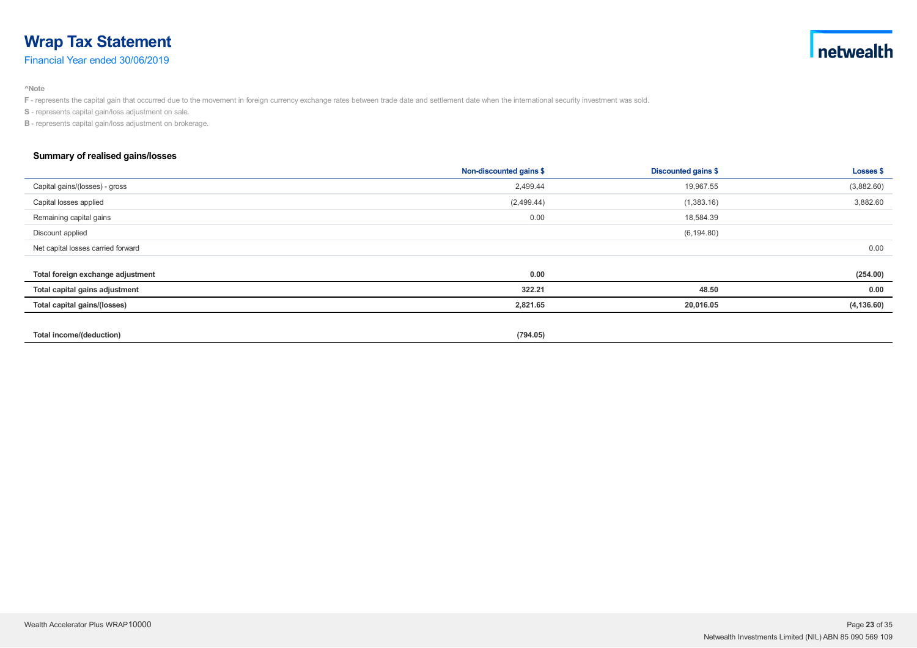Financial Year ended 30/06/2019

**^Note**

**F** - represents the capital gain that occurred due to the movement in foreign currency exchange rates between trade date and settlement date when the international security investment was sold.

**S** - represents capital gain/loss adjustment on sale.

**B** - represents capital gain/loss adjustment on brokerage.

#### **Summary of realised gains/losses**

|                                    | Non-discounted gains \$ | <b>Discounted gains \$</b> | <b>Losses \$</b> |
|------------------------------------|-------------------------|----------------------------|------------------|
| Capital gains/(losses) - gross     | 2,499.44                | 19,967.55                  | (3,882.60)       |
| Capital losses applied             | (2,499.44)              | (1,383.16)                 | 3,882.60         |
| Remaining capital gains            | 0.00                    | 18,584.39                  |                  |
| Discount applied                   |                         | (6, 194.80)                |                  |
| Net capital losses carried forward |                         |                            | 0.00             |
|                                    |                         |                            |                  |
| Total foreign exchange adjustment  | 0.00                    |                            | (254.00)         |
| Total capital gains adjustment     | 322.21                  | 48.50                      | 0.00             |
| Total capital gains/(losses)       | 2,821.65                | 20,016.05                  | (4, 136.60)      |
|                                    |                         |                            |                  |
| Total income/(deduction)           | (794.05)                |                            |                  |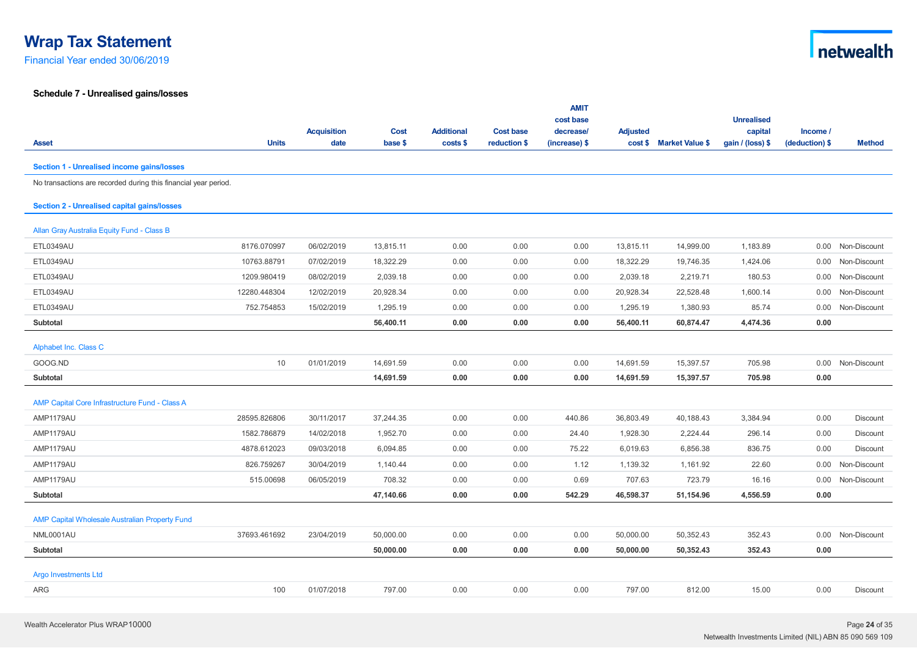Financial Year ended 30/06/2019

|                                                                 |              |                    |           |                   |                  | <b>AMIT</b>            |                 |                         |                              |                |                   |
|-----------------------------------------------------------------|--------------|--------------------|-----------|-------------------|------------------|------------------------|-----------------|-------------------------|------------------------------|----------------|-------------------|
|                                                                 |              | <b>Acquisition</b> | Cost      | <b>Additional</b> | <b>Cost base</b> | cost base<br>decrease/ | <b>Adjusted</b> |                         | <b>Unrealised</b><br>capital | Income /       |                   |
| <b>Asset</b>                                                    | <b>Units</b> | date               | base \$   | costs \$          | reduction \$     | $(increase)$ \$        |                 | cost \$ Market Value \$ | gain / ( $\cos$ ) \$         | (deduction) \$ | <b>Method</b>     |
|                                                                 |              |                    |           |                   |                  |                        |                 |                         |                              |                |                   |
| <b>Section 1 - Unrealised income gains/losses</b>               |              |                    |           |                   |                  |                        |                 |                         |                              |                |                   |
| No transactions are recorded during this financial year period. |              |                    |           |                   |                  |                        |                 |                         |                              |                |                   |
| <b>Section 2 - Unrealised capital gains/losses</b>              |              |                    |           |                   |                  |                        |                 |                         |                              |                |                   |
| Allan Gray Australia Equity Fund - Class B                      |              |                    |           |                   |                  |                        |                 |                         |                              |                |                   |
| ETL0349AU                                                       | 8176.070997  | 06/02/2019         | 13,815.11 | 0.00              | 0.00             | 0.00                   | 13,815.11       | 14,999.00               | 1,183.89                     |                | 0.00 Non-Discount |
| ETL0349AU                                                       | 10763.88791  | 07/02/2019         | 18,322.29 | 0.00              | 0.00             | 0.00                   | 18,322.29       | 19,746.35               | 1,424.06                     | 0.00           | Non-Discount      |
| ETL0349AU                                                       | 1209.980419  | 08/02/2019         | 2,039.18  | 0.00              | 0.00             | 0.00                   | 2,039.18        | 2,219.71                | 180.53                       |                | 0.00 Non-Discount |
| ETL0349AU                                                       | 12280.448304 | 12/02/2019         | 20,928.34 | 0.00              | 0.00             | 0.00                   | 20,928.34       | 22,528.48               | 1,600.14                     | 0.00           | Non-Discount      |
| ETL0349AU                                                       | 752.754853   | 15/02/2019         | 1,295.19  | 0.00              | 0.00             | 0.00                   | 1,295.19        | 1,380.93                | 85.74                        | 0.00           | Non-Discount      |
| Subtotal                                                        |              |                    | 56,400.11 | 0.00              | 0.00             | 0.00                   | 56,400.11       | 60,874.47               | 4,474.36                     | 0.00           |                   |
|                                                                 |              |                    |           |                   |                  |                        |                 |                         |                              |                |                   |
| Alphabet Inc. Class C                                           |              |                    |           |                   |                  |                        |                 |                         |                              |                |                   |
| GOOG.ND                                                         | 10           | 01/01/2019         | 14,691.59 | 0.00              | 0.00             | 0.00                   | 14,691.59       | 15,397.57               | 705.98                       |                | 0.00 Non-Discount |
| Subtotal                                                        |              |                    | 14,691.59 | 0.00              | 0.00             | 0.00                   | 14,691.59       | 15,397.57               | 705.98                       | 0.00           |                   |
| AMP Capital Core Infrastructure Fund - Class A                  |              |                    |           |                   |                  |                        |                 |                         |                              |                |                   |
| AMP1179AU                                                       | 28595.826806 | 30/11/2017         | 37,244.35 | 0.00              | 0.00             | 440.86                 | 36,803.49       | 40,188.43               | 3,384.94                     | 0.00           | Discount          |
| AMP1179AU                                                       | 1582.786879  | 14/02/2018         | 1,952.70  | 0.00              | 0.00             | 24.40                  | 1,928.30        | 2,224.44                | 296.14                       | 0.00           | Discount          |
| AMP1179AU                                                       | 4878.612023  | 09/03/2018         | 6,094.85  | 0.00              | 0.00             | 75.22                  | 6,019.63        | 6,856.38                | 836.75                       | 0.00           | Discount          |
| AMP1179AU                                                       | 826.759267   | 30/04/2019         | 1,140.44  | 0.00              | 0.00             | 1.12                   | 1,139.32        | 1,161.92                | 22.60                        | 0.00           | Non-Discount      |
| AMP1179AU                                                       | 515.00698    | 06/05/2019         | 708.32    | 0.00              | 0.00             | 0.69                   | 707.63          | 723.79                  | 16.16                        |                | 0.00 Non-Discount |
| Subtotal                                                        |              |                    | 47,140.66 | 0.00              | 0.00             | 542.29                 | 46,598.37       | 51,154.96               | 4,556.59                     | 0.00           |                   |
|                                                                 |              |                    |           |                   |                  |                        |                 |                         |                              |                |                   |
| <b>AMP Capital Wholesale Australian Property Fund</b>           |              |                    |           |                   |                  |                        |                 |                         |                              |                |                   |
| NML0001AU                                                       | 37693.461692 | 23/04/2019         | 50,000.00 | 0.00              | 0.00             | 0.00                   | 50,000.00       | 50,352.43               | 352.43                       | 0.00           | Non-Discount      |
| Subtotal                                                        |              |                    | 50,000.00 | 0.00              | 0.00             | 0.00                   | 50,000.00       | 50,352.43               | 352.43                       | 0.00           |                   |
| <b>Argo Investments Ltd</b>                                     |              |                    |           |                   |                  |                        |                 |                         |                              |                |                   |
| ARG                                                             | 100          | 01/07/2018         | 797.00    | 0.00              | 0.00             | 0.00                   | 797.00          | 812.00                  | 15.00                        | 0.00           | <b>Discount</b>   |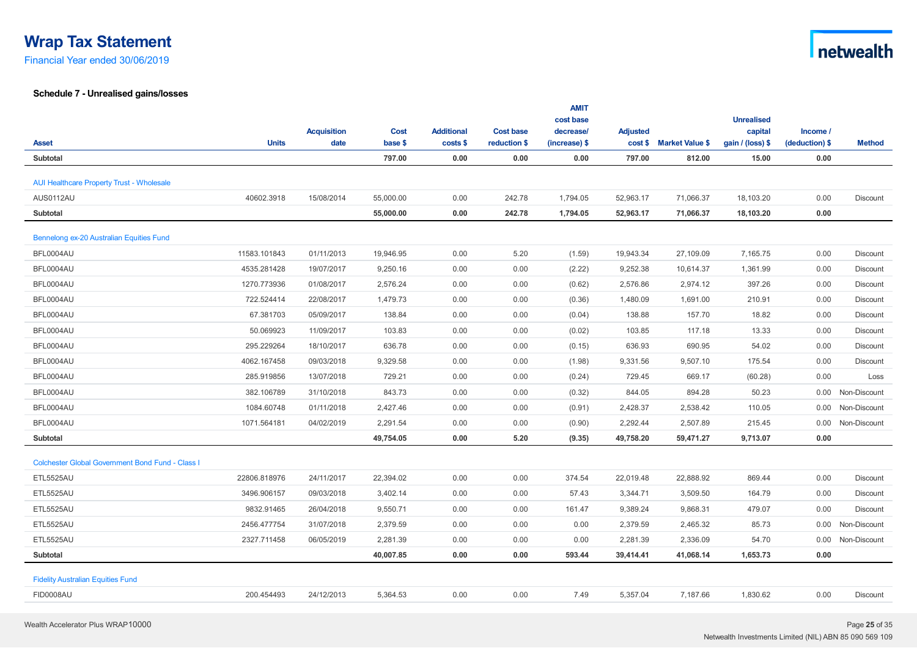Financial Year ended 30/06/2019

|                                                         |              |                    |             |                   |                  | <b>AMIT</b><br>cost base |                 |                         | <b>Unrealised</b> |                |                   |
|---------------------------------------------------------|--------------|--------------------|-------------|-------------------|------------------|--------------------------|-----------------|-------------------------|-------------------|----------------|-------------------|
|                                                         |              | <b>Acquisition</b> | <b>Cost</b> | <b>Additional</b> | <b>Cost base</b> | decrease/                | <b>Adjusted</b> |                         | capital           | Income /       |                   |
| <b>Asset</b>                                            | <b>Units</b> | date               | base \$     | costs \$          | reduction \$     | $(increase)$ \$          |                 | cost \$ Market Value \$ | gain / (loss) \$  | (deduction) \$ | <b>Method</b>     |
| Subtotal                                                |              |                    | 797.00      | 0.00              | 0.00             | 0.00                     | 797.00          | 812.00                  | 15.00             | 0.00           |                   |
|                                                         |              |                    |             |                   |                  |                          |                 |                         |                   |                |                   |
| <b>AUI Healthcare Property Trust - Wholesale</b>        |              |                    |             |                   |                  |                          |                 |                         |                   |                |                   |
| AUS0112AU                                               | 40602.3918   | 15/08/2014         | 55,000.00   | 0.00              | 242.78           | 1,794.05                 | 52,963.17       | 71,066.37               | 18,103.20         | 0.00           | Discount          |
| Subtotal                                                |              |                    | 55,000.00   | 0.00              | 242.78           | 1,794.05                 | 52,963.17       | 71,066.37               | 18,103.20         | 0.00           |                   |
| Bennelong ex-20 Australian Equities Fund                |              |                    |             |                   |                  |                          |                 |                         |                   |                |                   |
| BFL0004AU                                               | 11583.101843 | 01/11/2013         | 19,946.95   | 0.00              | 5.20             | (1.59)                   | 19,943.34       | 27,109.09               | 7,165.75          | 0.00           | <b>Discount</b>   |
| BFL0004AU                                               | 4535.281428  | 19/07/2017         | 9,250.16    | 0.00              | 0.00             | (2.22)                   | 9,252.38        | 10,614.37               | 1,361.99          | 0.00           | Discount          |
| BFL0004AU                                               | 1270.773936  | 01/08/2017         | 2,576.24    | 0.00              | 0.00             | (0.62)                   | 2,576.86        | 2,974.12                | 397.26            | 0.00           | Discount          |
| BFL0004AU                                               | 722.524414   | 22/08/2017         | 1,479.73    | 0.00              | 0.00             | (0.36)                   | 1,480.09        | 1,691.00                | 210.91            | 0.00           | Discount          |
| BFL0004AU                                               | 67.381703    | 05/09/2017         | 138.84      | 0.00              | 0.00             | (0.04)                   | 138.88          | 157.70                  | 18.82             | 0.00           | Discount          |
| BFL0004AU                                               | 50.069923    | 11/09/2017         | 103.83      | 0.00              | 0.00             | (0.02)                   | 103.85          | 117.18                  | 13.33             | 0.00           | Discount          |
| BFL0004AU                                               | 295.229264   | 18/10/2017         | 636.78      | 0.00              | 0.00             | (0.15)                   | 636.93          | 690.95                  | 54.02             | 0.00           | Discount          |
| BFL0004AU                                               | 4062.167458  | 09/03/2018         | 9,329.58    | 0.00              | 0.00             | (1.98)                   | 9,331.56        | 9,507.10                | 175.54            | 0.00           | Discount          |
| BFL0004AU                                               | 285.919856   | 13/07/2018         | 729.21      | 0.00              | 0.00             | (0.24)                   | 729.45          | 669.17                  | (60.28)           | 0.00           | Loss              |
| BFL0004AU                                               | 382.106789   | 31/10/2018         | 843.73      | 0.00              | 0.00             | (0.32)                   | 844.05          | 894.28                  | 50.23             | 0.00           | Non-Discount      |
| BFL0004AU                                               | 1084.60748   | 01/11/2018         | 2,427.46    | 0.00              | 0.00             | (0.91)                   | 2,428.37        | 2,538.42                | 110.05            |                | 0.00 Non-Discount |
| BFL0004AU                                               | 1071.564181  | 04/02/2019         | 2,291.54    | 0.00              | 0.00             | (0.90)                   | 2,292.44        | 2,507.89                | 215.45            | 0.00           | Non-Discount      |
| Subtotal                                                |              |                    | 49,754.05   | 0.00              | 5.20             | (9.35)                   | 49,758.20       | 59,471.27               | 9,713.07          | 0.00           |                   |
| <b>Colchester Global Government Bond Fund - Class I</b> |              |                    |             |                   |                  |                          |                 |                         |                   |                |                   |
| ETL5525AU                                               | 22806.818976 | 24/11/2017         | 22,394.02   | 0.00              | 0.00             | 374.54                   | 22,019.48       | 22,888.92               | 869.44            | 0.00           | Discount          |
| ETL5525AU                                               | 3496.906157  | 09/03/2018         | 3,402.14    | 0.00              | 0.00             | 57.43                    | 3,344.71        | 3,509.50                | 164.79            | 0.00           | Discount          |
| ETL5525AU                                               | 9832.91465   | 26/04/2018         | 9,550.71    | 0.00              | 0.00             | 161.47                   | 9,389.24        | 9,868.31                | 479.07            | 0.00           | Discount          |
| ETL5525AU                                               | 2456.477754  | 31/07/2018         | 2,379.59    | 0.00              | 0.00             | 0.00                     | 2,379.59        | 2,465.32                | 85.73             | 0.00           | Non-Discount      |
| ETL5525AU                                               | 2327.711458  | 06/05/2019         | 2,281.39    | 0.00              | 0.00             | 0.00                     | 2,281.39        | 2,336.09                | 54.70             |                | 0.00 Non-Discount |
| Subtotal                                                |              |                    | 40,007.85   | 0.00              | 0.00             | 593.44                   | 39,414.41       | 41,068.14               | 1,653.73          | 0.00           |                   |
|                                                         |              |                    |             |                   |                  |                          |                 |                         |                   |                |                   |
| <b>Fidelity Australian Equities Fund</b>                |              |                    |             |                   |                  |                          |                 |                         |                   |                |                   |
| <b>FID0008AU</b>                                        | 200.454493   | 24/12/2013         | 5,364.53    | 0.00              | 0.00             | 7.49                     | 5,357.04        | 7,187.66                | 1,830.62          | 0.00           | <b>Discount</b>   |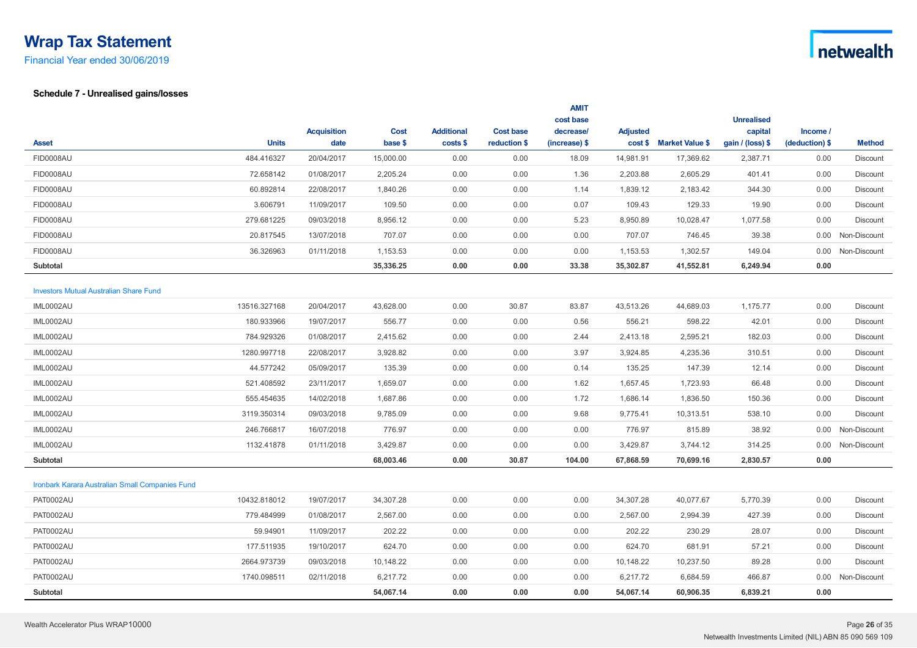Financial Year ended 30/06/2019

|                                                        |              |                    |             |                   |                  | <b>AMIT</b>            |                 |                         |                              |                |                   |
|--------------------------------------------------------|--------------|--------------------|-------------|-------------------|------------------|------------------------|-----------------|-------------------------|------------------------------|----------------|-------------------|
|                                                        |              | <b>Acquisition</b> | <b>Cost</b> | <b>Additional</b> | <b>Cost base</b> | cost base<br>decrease/ | <b>Adjusted</b> |                         | <b>Unrealised</b><br>capital | Income /       |                   |
| <b>Asset</b>                                           | <b>Units</b> | date               | base \$     | costs \$          | reduction \$     | (increase) \$          |                 | cost \$ Market Value \$ | gain / (loss) \$             | (deduction) \$ | <b>Method</b>     |
| FID0008AU                                              | 484.416327   | 20/04/2017         | 15,000.00   | 0.00              | 0.00             | 18.09                  | 14,981.91       | 17,369.62               | 2,387.71                     | 0.00           | Discount          |
| <b>FID0008AU</b>                                       | 72.658142    | 01/08/2017         | 2,205.24    | 0.00              | 0.00             | 1.36                   | 2.203.88        | 2,605.29                | 401.41                       | 0.00           | <b>Discount</b>   |
| FID0008AU                                              | 60.892814    | 22/08/2017         | 1,840.26    | 0.00              | 0.00             | 1.14                   | 1,839.12        | 2,183.42                | 344.30                       | 0.00           | Discount          |
| FID0008AU                                              | 3.606791     | 11/09/2017         | 109.50      | 0.00              | 0.00             | 0.07                   | 109.43          | 129.33                  | 19.90                        | 0.00           | Discount          |
| FID0008AU                                              | 279.681225   | 09/03/2018         | 8,956.12    | 0.00              | 0.00             | 5.23                   | 8,950.89        | 10,028.47               | 1,077.58                     | 0.00           | Discount          |
| FID0008AU                                              | 20.817545    | 13/07/2018         | 707.07      | 0.00              | 0.00             | 0.00                   | 707.07          | 746.45                  | 39.38                        | 0.00           | Non-Discount      |
| FID0008AU                                              | 36.326963    | 01/11/2018         | 1,153.53    | 0.00              | 0.00             | 0.00                   | 1,153.53        | 1,302.57                | 149.04                       |                | 0.00 Non-Discount |
| Subtotal                                               |              |                    | 35,336.25   | 0.00              | 0.00             | 33.38                  | 35,302.87       | 41,552.81               | 6,249.94                     | 0.00           |                   |
| <b>Investors Mutual Australian Share Fund</b>          |              |                    |             |                   |                  |                        |                 |                         |                              |                |                   |
| <b>IML0002AU</b>                                       | 13516.327168 | 20/04/2017         | 43,628.00   | 0.00              | 30.87            | 83.87                  | 43,513.26       | 44,689.03               | 1,175.77                     | 0.00           | Discount          |
| <b>IML0002AU</b>                                       | 180.933966   | 19/07/2017         | 556.77      | 0.00              | 0.00             | 0.56                   | 556.21          | 598.22                  | 42.01                        | 0.00           | Discount          |
| <b>IML0002AU</b>                                       | 784.929326   | 01/08/2017         | 2,415.62    | 0.00              | 0.00             | 2.44                   | 2,413.18        | 2,595.21                | 182.03                       | 0.00           | Discount          |
| <b>IML0002AU</b>                                       | 1280.997718  | 22/08/2017         | 3,928.82    | 0.00              | 0.00             | 3.97                   | 3,924.85        | 4,235.36                | 310.51                       | 0.00           | Discount          |
| <b>IML0002AU</b>                                       | 44.577242    | 05/09/2017         | 135.39      | 0.00              | 0.00             | 0.14                   | 135.25          | 147.39                  | 12.14                        | 0.00           | Discount          |
| <b>IML0002AU</b>                                       | 521.408592   | 23/11/2017         | 1,659.07    | 0.00              | 0.00             | 1.62                   | 1,657.45        | 1,723.93                | 66.48                        | 0.00           | Discount          |
| <b>IML0002AU</b>                                       | 555.454635   | 14/02/2018         | 1,687.86    | 0.00              | 0.00             | 1.72                   | 1,686.14        | 1,836.50                | 150.36                       | 0.00           | Discount          |
| <b>IML0002AU</b>                                       | 3119.350314  | 09/03/2018         | 9,785.09    | 0.00              | 0.00             | 9.68                   | 9,775.41        | 10,313.51               | 538.10                       | 0.00           | Discount          |
| <b>IML0002AU</b>                                       | 246.766817   | 16/07/2018         | 776.97      | 0.00              | 0.00             | 0.00                   | 776.97          | 815.89                  | 38.92                        | 0.00           | Non-Discount      |
| <b>IML0002AU</b>                                       | 1132.41878   | 01/11/2018         | 3,429.87    | 0.00              | 0.00             | 0.00                   | 3,429.87        | 3,744.12                | 314.25                       | 0.00           | Non-Discount      |
| Subtotal                                               |              |                    | 68,003.46   | 0.00              | 30.87            | 104.00                 | 67,868.59       | 70,699.16               | 2,830.57                     | 0.00           |                   |
| <b>Ironbark Karara Australian Small Companies Fund</b> |              |                    |             |                   |                  |                        |                 |                         |                              |                |                   |
| PAT0002AU                                              | 10432.818012 | 19/07/2017         | 34,307.28   | 0.00              | 0.00             | 0.00                   | 34,307.28       | 40,077.67               | 5,770.39                     | 0.00           | Discount          |
| PAT0002AU                                              | 779.484999   | 01/08/2017         | 2,567.00    | 0.00              | 0.00             | 0.00                   | 2,567.00        | 2,994.39                | 427.39                       | 0.00           | Discount          |
| PAT0002AU                                              | 59.94901     | 11/09/2017         | 202.22      | 0.00              | 0.00             | 0.00                   | 202.22          | 230.29                  | 28.07                        | 0.00           | Discount          |
| PAT0002AU                                              | 177.511935   | 19/10/2017         | 624.70      | 0.00              | 0.00             | 0.00                   | 624.70          | 681.91                  | 57.21                        | 0.00           | Discount          |
| PAT0002AU                                              | 2664.973739  | 09/03/2018         | 10,148.22   | 0.00              | 0.00             | 0.00                   | 10,148.22       | 10,237.50               | 89.28                        | 0.00           | Discount          |
| PAT0002AU                                              | 1740.098511  | 02/11/2018         | 6,217.72    | 0.00              | 0.00             | 0.00                   | 6,217.72        | 6,684.59                | 466.87                       |                | 0.00 Non-Discount |
| Subtotal                                               |              |                    | 54,067.14   | 0.00              | 0.00             | 0.00                   | 54.067.14       | 60.906.35               | 6.839.21                     | 0.00           |                   |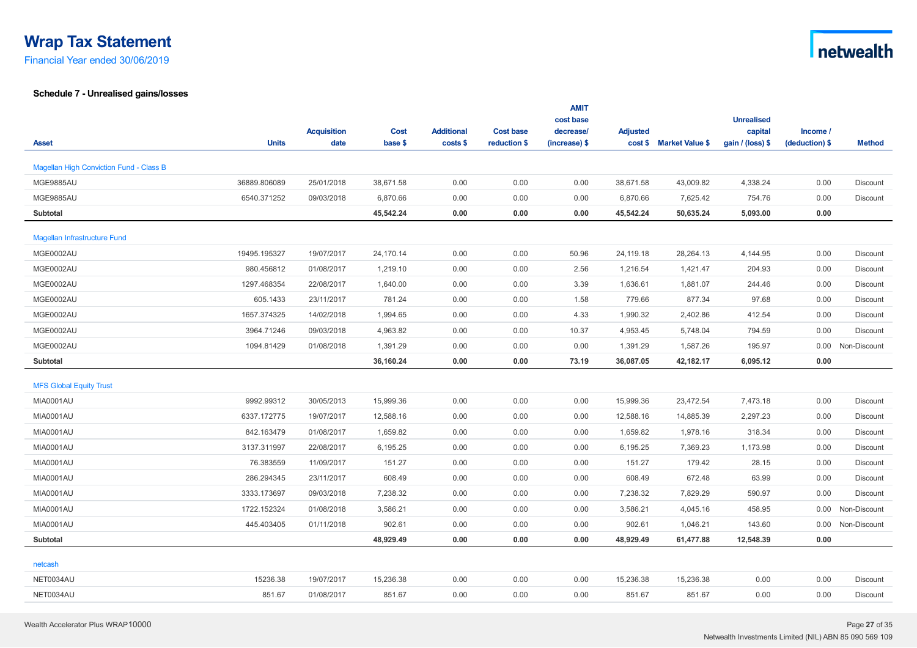Financial Year ended 30/06/2019

|                                                |              |                    |             |                   |                  | <b>AMIT</b><br>cost base |                 |                         | <b>Unrealised</b> |                |                 |
|------------------------------------------------|--------------|--------------------|-------------|-------------------|------------------|--------------------------|-----------------|-------------------------|-------------------|----------------|-----------------|
|                                                |              | <b>Acquisition</b> | <b>Cost</b> | <b>Additional</b> | <b>Cost base</b> | decrease/                | <b>Adjusted</b> |                         | capital           | Income /       |                 |
| <b>Asset</b>                                   | <b>Units</b> | date               | base \$     | costs             | reduction \$     | $(increase)$ \$          |                 | cost \$ Market Value \$ | gain / (loss) $$$ | (deduction) \$ | <b>Method</b>   |
|                                                |              |                    |             |                   |                  |                          |                 |                         |                   |                |                 |
| <b>Magellan High Conviction Fund - Class B</b> |              |                    |             |                   |                  |                          |                 |                         |                   |                |                 |
| <b>MGE9885AU</b>                               | 36889.806089 | 25/01/2018         | 38,671.58   | 0.00              | 0.00             | 0.00                     | 38,671.58       | 43,009.82               | 4,338.24          | 0.00           | Discount        |
| MGE9885AU                                      | 6540.371252  | 09/03/2018         | 6,870.66    | 0.00              | 0.00             | 0.00                     | 6,870.66        | 7,625.42                | 754.76            | 0.00           | Discount        |
| Subtotal                                       |              |                    | 45,542.24   | 0.00              | 0.00             | 0.00                     | 45,542.24       | 50,635.24               | 5,093.00          | 0.00           |                 |
| Magellan Infrastructure Fund                   |              |                    |             |                   |                  |                          |                 |                         |                   |                |                 |
| MGE0002AU                                      | 19495.195327 | 19/07/2017         | 24,170.14   | 0.00              | 0.00             | 50.96                    | 24,119.18       | 28,264.13               | 4,144.95          | 0.00           | Discount        |
| MGE0002AU                                      | 980.456812   | 01/08/2017         | 1,219.10    | 0.00              | 0.00             | 2.56                     | 1,216.54        | 1,421.47                | 204.93            | 0.00           | Discount        |
| MGE0002AU                                      | 1297.468354  | 22/08/2017         | 1,640.00    | 0.00              | 0.00             | 3.39                     | 1,636.61        | 1,881.07                | 244.46            | 0.00           | <b>Discount</b> |
| MGE0002AU                                      | 605.1433     | 23/11/2017         | 781.24      | 0.00              | 0.00             | 1.58                     | 779.66          | 877.34                  | 97.68             | 0.00           | Discount        |
| MGE0002AU                                      | 1657.374325  | 14/02/2018         | 1,994.65    | 0.00              | 0.00             | 4.33                     | 1,990.32        | 2,402.86                | 412.54            | 0.00           | <b>Discount</b> |
| MGE0002AU                                      | 3964.71246   | 09/03/2018         | 4,963.82    | 0.00              | 0.00             | 10.37                    | 4,953.45        | 5,748.04                | 794.59            | 0.00           | <b>Discount</b> |
| MGE0002AU                                      | 1094.81429   | 01/08/2018         | 1,391.29    | 0.00              | 0.00             | 0.00                     | 1,391.29        | 1,587.26                | 195.97            | 0.00           | Non-Discount    |
| Subtotal                                       |              |                    | 36,160.24   | 0.00              | 0.00             | 73.19                    | 36,087.05       | 42,182.17               | 6,095.12          | 0.00           |                 |
| <b>MFS Global Equity Trust</b>                 |              |                    |             |                   |                  |                          |                 |                         |                   |                |                 |
| <b>MIA0001AU</b>                               | 9992.99312   | 30/05/2013         | 15,999.36   | 0.00              | 0.00             | 0.00                     | 15,999.36       | 23,472.54               | 7,473.18          | 0.00           | <b>Discount</b> |
| <b>MIA0001AU</b>                               | 6337.172775  | 19/07/2017         | 12,588.16   | 0.00              | 0.00             | 0.00                     | 12,588.16       | 14,885.39               | 2,297.23          | 0.00           | <b>Discount</b> |
| <b>MIA0001AU</b>                               | 842.163479   | 01/08/2017         | 1,659.82    | 0.00              | 0.00             | 0.00                     | 1,659.82        | 1,978.16                | 318.34            | 0.00           | <b>Discount</b> |
| MIA0001AU                                      | 3137.311997  | 22/08/2017         | 6,195.25    | 0.00              | 0.00             | 0.00                     | 6,195.25        | 7,369.23                | 1,173.98          | 0.00           | Discount        |
| <b>MIA0001AU</b>                               | 76.383559    | 11/09/2017         | 151.27      | 0.00              | 0.00             | 0.00                     | 151.27          | 179.42                  | 28.15             | 0.00           | Discount        |
| <b>MIA0001AU</b>                               | 286.294345   | 23/11/2017         | 608.49      | 0.00              | 0.00             | 0.00                     | 608.49          | 672.48                  | 63.99             | 0.00           | <b>Discount</b> |
| MIA0001AU                                      | 3333.173697  | 09/03/2018         | 7,238.32    | 0.00              | 0.00             | 0.00                     | 7,238.32        | 7,829.29                | 590.97            | 0.00           | Discount        |
| MIA0001AU                                      | 1722.152324  | 01/08/2018         | 3,586.21    | 0.00              | 0.00             | 0.00                     | 3,586.21        | 4,045.16                | 458.95            | 0.00           | Non-Discount    |
| <b>MIA0001AU</b>                               | 445.403405   | 01/11/2018         | 902.61      | 0.00              | 0.00             | 0.00                     | 902.61          | 1,046.21                | 143.60            | 0.00           | Non-Discount    |
| Subtotal                                       |              |                    | 48,929.49   | 0.00              | 0.00             | 0.00                     | 48,929.49       | 61,477.88               | 12,548.39         | 0.00           |                 |
| netcash                                        |              |                    |             |                   |                  |                          |                 |                         |                   |                |                 |
| NET0034AU                                      | 15236.38     | 19/07/2017         | 15,236.38   | 0.00              | 0.00             | 0.00                     | 15,236.38       | 15,236.38               | 0.00              | 0.00           | Discount        |
| NET0034AU                                      | 851.67       | 01/08/2017         | 851.67      | 0.00              | 0.00             | 0.00                     | 851.67          | 851.67                  | 0.00              | 0.00           | <b>Discount</b> |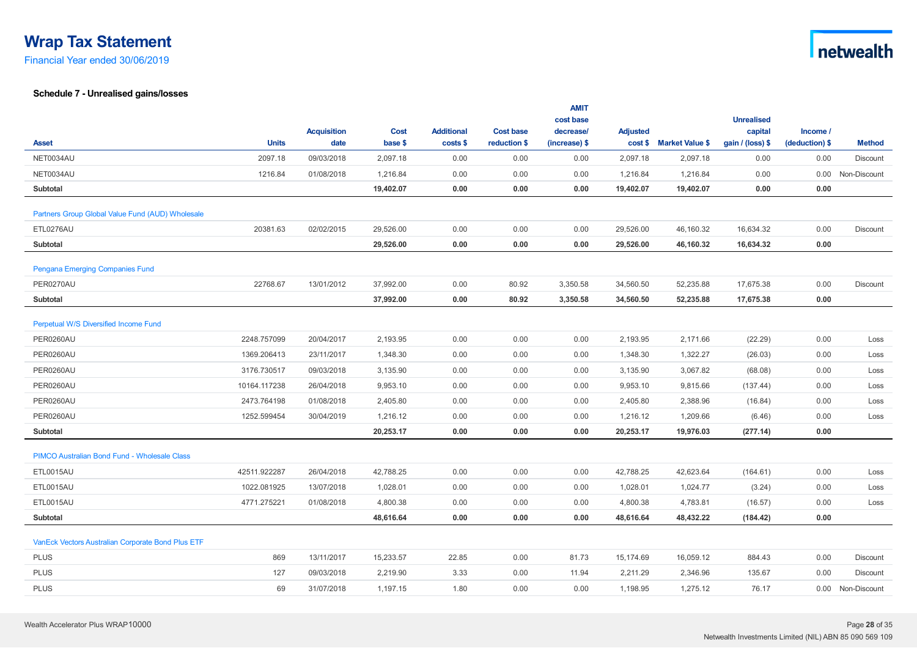Financial Year ended 30/06/2019

|                                                   |              |                    |             |                   |                  | <b>AMIT</b><br>cost base |                 |                         | <b>Unrealised</b> |                |                 |
|---------------------------------------------------|--------------|--------------------|-------------|-------------------|------------------|--------------------------|-----------------|-------------------------|-------------------|----------------|-----------------|
|                                                   |              | <b>Acquisition</b> | <b>Cost</b> | <b>Additional</b> | <b>Cost base</b> | decrease/                | <b>Adjusted</b> |                         | capital           | Income /       |                 |
| <b>Asset</b>                                      | <b>Units</b> | date               | base \$     | costs \$          | reduction \$     | (increase) \$            |                 | cost \$ Market Value \$ | gain / (loss) \$  | (deduction) \$ | <b>Method</b>   |
| NET0034AU                                         | 2097.18      | 09/03/2018         | 2,097.18    | 0.00              | 0.00             | 0.00                     | 2,097.18        | 2,097.18                | 0.00              | 0.00           | <b>Discount</b> |
| NET0034AU                                         | 1216.84      | 01/08/2018         | 1,216.84    | 0.00              | 0.00             | 0.00                     | 1,216.84        | 1,216.84                | 0.00              | 0.00           | Non-Discount    |
| Subtotal                                          |              |                    | 19,402.07   | 0.00              | 0.00             | 0.00                     | 19,402.07       | 19,402.07               | 0.00              | 0.00           |                 |
| Partners Group Global Value Fund (AUD) Wholesale  |              |                    |             |                   |                  |                          |                 |                         |                   |                |                 |
| ETL0276AU                                         | 20381.63     | 02/02/2015         | 29,526.00   | 0.00              | 0.00             | 0.00                     | 29,526.00       | 46,160.32               | 16,634.32         | 0.00           | <b>Discount</b> |
| Subtotal                                          |              |                    | 29,526.00   | $0.00\,$          | $0.00\,$         | 0.00                     | 29,526.00       | 46,160.32               | 16,634.32         | 0.00           |                 |
| Pengana Emerging Companies Fund                   |              |                    |             |                   |                  |                          |                 |                         |                   |                |                 |
| PER0270AU                                         | 22768.67     | 13/01/2012         | 37,992.00   | 0.00              | 80.92            | 3,350.58                 | 34,560.50       | 52,235.88               | 17,675.38         | 0.00           | Discount        |
| Subtotal                                          |              |                    | 37,992.00   | 0.00              | 80.92            | 3,350.58                 | 34,560.50       | 52,235.88               | 17,675.38         | 0.00           |                 |
|                                                   |              |                    |             |                   |                  |                          |                 |                         |                   |                |                 |
| Perpetual W/S Diversified Income Fund             |              |                    |             |                   |                  |                          |                 |                         |                   |                |                 |
| PER0260AU                                         | 2248.757099  | 20/04/2017         | 2,193.95    | 0.00              | 0.00             | 0.00                     | 2,193.95        | 2,171.66                | (22.29)           | 0.00           | Loss            |
| PER0260AU                                         | 1369.206413  | 23/11/2017         | 1,348.30    | 0.00              | 0.00             | 0.00                     | 1,348.30        | 1,322.27                | (26.03)           | 0.00           | Loss            |
| PER0260AU                                         | 3176.730517  | 09/03/2018         | 3,135.90    | 0.00              | 0.00             | 0.00                     | 3,135.90        | 3,067.82                | (68.08)           | 0.00           | Loss            |
| PER0260AU                                         | 10164.117238 | 26/04/2018         | 9,953.10    | 0.00              | 0.00             | 0.00                     | 9,953.10        | 9,815.66                | (137.44)          | 0.00           | Loss            |
| PER0260AU                                         | 2473.764198  | 01/08/2018         | 2,405.80    | 0.00              | 0.00             | 0.00                     | 2,405.80        | 2,388.96                | (16.84)           | 0.00           | Loss            |
| PER0260AU                                         | 1252.599454  | 30/04/2019         | 1,216.12    | 0.00              | 0.00             | 0.00                     | 1,216.12        | 1,209.66                | (6.46)            | 0.00           | Loss            |
| Subtotal                                          |              |                    | 20,253.17   | 0.00              | 0.00             | 0.00                     | 20,253.17       | 19,976.03               | (277.14)          | 0.00           |                 |
| PIMCO Australian Bond Fund - Wholesale Class      |              |                    |             |                   |                  |                          |                 |                         |                   |                |                 |
| ETL0015AU                                         | 42511.922287 | 26/04/2018         | 42,788.25   | 0.00              | 0.00             | 0.00                     | 42,788.25       | 42,623.64               | (164.61)          | 0.00           | Loss            |
| ETL0015AU                                         | 1022.081925  | 13/07/2018         | 1,028.01    | 0.00              | 0.00             | 0.00                     | 1,028.01        | 1,024.77                | (3.24)            | 0.00           | Loss            |
| ETL0015AU                                         | 4771.275221  | 01/08/2018         | 4,800.38    | 0.00              | 0.00             | 0.00                     | 4,800.38        | 4,783.81                | (16.57)           | 0.00           | Loss            |
| Subtotal                                          |              |                    | 48.616.64   | 0.00              | 0.00             | 0.00                     | 48.616.64       | 48,432.22               | (184.42)          | 0.00           |                 |
| VanEck Vectors Australian Corporate Bond Plus ETF |              |                    |             |                   |                  |                          |                 |                         |                   |                |                 |
| <b>PLUS</b>                                       | 869          | 13/11/2017         | 15,233.57   | 22.85             | 0.00             | 81.73                    | 15,174.69       | 16,059.12               | 884.43            | 0.00           | <b>Discount</b> |
| <b>PLUS</b>                                       | 127          | 09/03/2018         | 2,219.90    | 3.33              | 0.00             | 11.94                    | 2,211.29        | 2,346.96                | 135.67            | 0.00           | Discount        |
| <b>PLUS</b>                                       |              |                    |             |                   |                  |                          |                 |                         |                   |                |                 |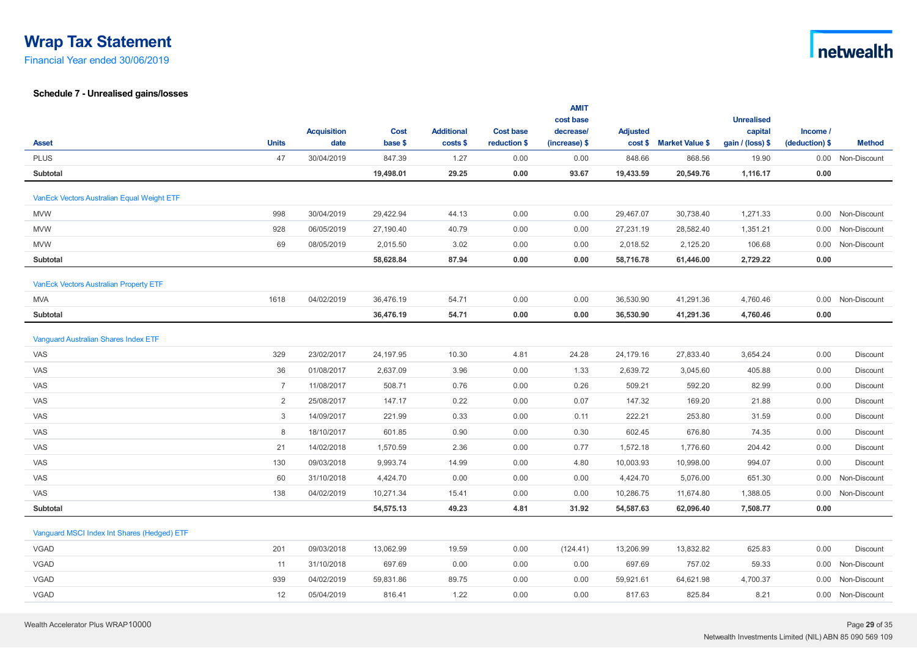Financial Year ended 30/06/2019

|                                             |                |                    |             |                   |                  | <b>AMIT</b><br>cost base |                 |                         | <b>Unrealised</b> |                |                   |
|---------------------------------------------|----------------|--------------------|-------------|-------------------|------------------|--------------------------|-----------------|-------------------------|-------------------|----------------|-------------------|
|                                             |                | <b>Acquisition</b> | <b>Cost</b> | <b>Additional</b> | <b>Cost base</b> | decrease/                | <b>Adjusted</b> |                         | capital           | Income /       |                   |
| <b>Asset</b>                                | <b>Units</b>   | date               | base \$     | costs             | reduction \$     | (increase) \$            |                 | cost \$ Market Value \$ | gain / (loss) $$$ | (deduction) \$ | <b>Method</b>     |
| <b>PLUS</b>                                 | 47             | 30/04/2019         | 847.39      | 1.27              | 0.00             | 0.00                     | 848.66          | 868.56                  | 19.90             |                | 0.00 Non-Discount |
| Subtotal                                    |                |                    | 19,498.01   | 29.25             | 0.00             | 93.67                    | 19,433.59       | 20,549.76               | 1,116.17          | 0.00           |                   |
| VanEck Vectors Australian Equal Weight ETF  |                |                    |             |                   |                  |                          |                 |                         |                   |                |                   |
| <b>MVW</b>                                  | 998            | 30/04/2019         | 29,422.94   | 44.13             | 0.00             | 0.00                     | 29,467.07       | 30,738.40               | 1,271.33          |                | 0.00 Non-Discount |
| <b>MVW</b>                                  | 928            | 06/05/2019         | 27,190.40   | 40.79             | 0.00             | 0.00                     | 27,231.19       | 28,582.40               | 1,351.21          | 0.00           | Non-Discount      |
| <b>MVW</b>                                  | 69             | 08/05/2019         | 2,015.50    | 3.02              | 0.00             | 0.00                     | 2,018.52        | 2,125.20                | 106.68            | 0.00           | Non-Discount      |
| Subtotal                                    |                |                    | 58,628.84   | 87.94             | 0.00             | 0.00                     | 58,716.78       | 61,446.00               | 2,729.22          | 0.00           |                   |
|                                             |                |                    |             |                   |                  |                          |                 |                         |                   |                |                   |
| VanEck Vectors Australian Property ETF      |                |                    |             |                   |                  |                          |                 |                         |                   |                |                   |
| <b>MVA</b>                                  | 1618           | 04/02/2019         | 36,476.19   | 54.71             | 0.00             | 0.00                     | 36,530.90       | 41,291.36               | 4,760.46          |                | 0.00 Non-Discount |
| Subtotal                                    |                |                    | 36,476.19   | 54.71             | 0.00             | 0.00                     | 36,530.90       | 41,291.36               | 4,760.46          | 0.00           |                   |
|                                             |                |                    |             |                   |                  |                          |                 |                         |                   |                |                   |
| <b>Vanquard Australian Shares Index ETF</b> |                |                    |             |                   |                  |                          |                 |                         |                   |                |                   |
| VAS                                         | 329            | 23/02/2017         | 24,197.95   | 10.30             | 4.81             | 24.28                    | 24,179.16       | 27,833.40               | 3,654.24          | 0.00           | Discount          |
| VAS                                         | 36             | 01/08/2017         | 2,637.09    | 3.96              | 0.00             | 1.33                     | 2,639.72        | 3,045.60                | 405.88            | 0.00           | Discount          |
| VAS                                         | $\overline{7}$ | 11/08/2017         | 508.71      | 0.76              | 0.00             | 0.26                     | 509.21          | 592.20                  | 82.99             | 0.00           | Discount          |
| VAS                                         | 2              | 25/08/2017         | 147.17      | 0.22              | 0.00             | 0.07                     | 147.32          | 169.20                  | 21.88             | 0.00           | Discount          |
| VAS                                         | 3              | 14/09/2017         | 221.99      | 0.33              | 0.00             | 0.11                     | 222.21          | 253.80                  | 31.59             | 0.00           | Discount          |
| VAS                                         | 8              | 18/10/2017         | 601.85      | 0.90              | 0.00             | 0.30                     | 602.45          | 676.80                  | 74.35             | 0.00           | Discount          |
| VAS                                         | 21             | 14/02/2018         | 1,570.59    | 2.36              | 0.00             | 0.77                     | 1,572.18        | 1,776.60                | 204.42            | 0.00           | Discount          |
| VAS                                         | 130            | 09/03/2018         | 9,993.74    | 14.99             | 0.00             | 4.80                     | 10,003.93       | 10,998.00               | 994.07            | 0.00           | Discount          |
| VAS                                         | 60             | 31/10/2018         | 4,424.70    | 0.00              | 0.00             | 0.00                     | 4,424.70        | 5,076.00                | 651.30            | 0.00           | Non-Discount      |
| VAS                                         | 138            | 04/02/2019         | 10,271.34   | 15.41             | 0.00             | 0.00                     | 10,286.75       | 11,674.80               | 1,388.05          | 0.00           | Non-Discount      |
| Subtotal                                    |                |                    | 54,575.13   | 49.23             | 4.81             | 31.92                    | 54,587.63       | 62,096.40               | 7,508.77          | 0.00           |                   |
| Vanguard MSCI Index Int Shares (Hedged) ETF |                |                    |             |                   |                  |                          |                 |                         |                   |                |                   |
| VGAD                                        | 201            | 09/03/2018         | 13,062.99   | 19.59             | 0.00             | (124.41)                 | 13,206.99       | 13,832.82               | 625.83            | 0.00           | Discount          |
| <b>VGAD</b>                                 | 11             | 31/10/2018         | 697.69      | 0.00              | 0.00             | 0.00                     | 697.69          | 757.02                  | 59.33             | 0.00           | Non-Discount      |
| <b>VGAD</b>                                 | 939            | 04/02/2019         | 59,831.86   | 89.75             | 0.00             | 0.00                     | 59,921.61       | 64,621.98               | 4,700.37          | 0.00           | Non-Discount      |
| VGAD                                        | 12             |                    |             | 1.22              | 0.00             | 0.00                     |                 | 825.84                  | 8.21              |                | Non-Discount      |
|                                             |                | 05/04/2019         | 816.41      |                   |                  |                          | 817.63          |                         |                   | 0.00           |                   |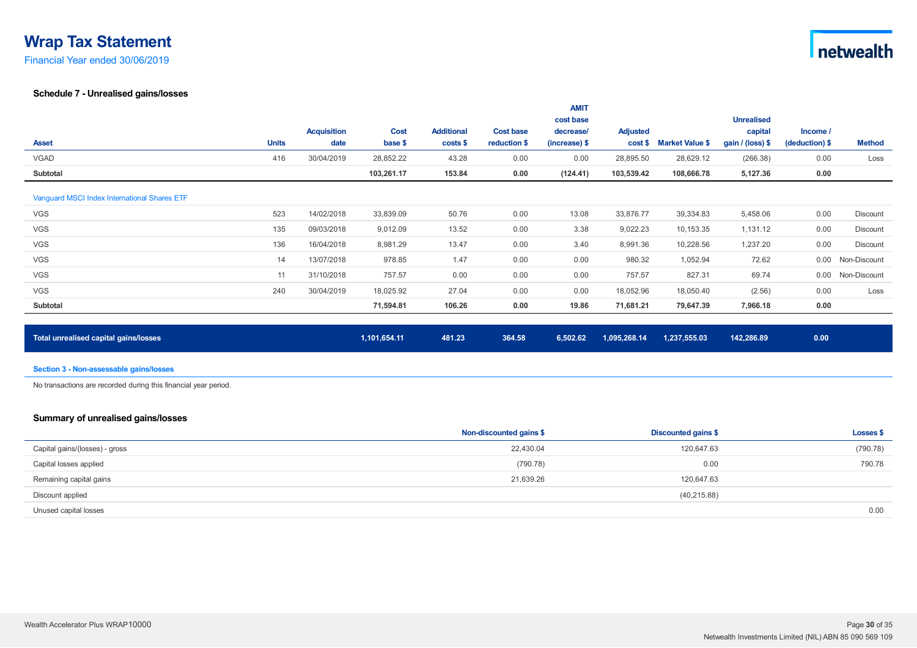Financial Year ended 30/06/2019

#### **Schedule 7 - Unrealised gains/losses**

|                                              |              |                    |              |                   |                  | <b>AMIT</b>   |                 |                        |                   |                |               |
|----------------------------------------------|--------------|--------------------|--------------|-------------------|------------------|---------------|-----------------|------------------------|-------------------|----------------|---------------|
|                                              |              |                    |              |                   |                  | cost base     |                 |                        | <b>Unrealised</b> |                |               |
|                                              |              | <b>Acquisition</b> | Cost         | <b>Additional</b> | <b>Cost base</b> | decrease/     | <b>Adjusted</b> |                        | capital           | Income /       |               |
| <b>Asset</b>                                 | <b>Units</b> | date               | base \$      | costs             | reduction \$     | (increase) \$ | cost            | <b>Market Value \$</b> | gain / (loss) \$  | (deduction) \$ | <b>Method</b> |
| VGAD                                         | 416          | 30/04/2019         | 28,852.22    | 43.28             | 0.00             | 0.00          | 28,895.50       | 28,629.12              | (266.38)          | 0.00           | Loss          |
| Subtotal                                     |              |                    | 103,261.17   | 153.84            | 0.00             | (124.41)      | 103,539.42      | 108,666.78             | 5,127.36          | 0.00           |               |
| Vanguard MSCI Index International Shares ETF |              |                    |              |                   |                  |               |                 |                        |                   |                |               |
| VGS                                          | 523          | 14/02/2018         | 33,839.09    | 50.76             | 0.00             | 13.08         | 33,876.77       | 39,334.83              | 5,458.06          | 0.00           | Discount      |
| <b>VGS</b>                                   | 135          | 09/03/2018         | 9,012.09     | 13.52             | 0.00             | 3.38          | 9,022.23        | 10,153.35              | 1,131.12          | 0.00           | Discount      |
| <b>VGS</b>                                   | 136          | 16/04/2018         | 8,981.29     | 13.47             | 0.00             | 3.40          | 8,991.36        | 10,228.56              | 1,237.20          | 0.00           | Discount      |
| <b>VGS</b>                                   | 14           | 13/07/2018         | 978.85       | 1.47              | 0.00             | 0.00          | 980.32          | 1,052.94               | 72.62             | 0.00           | Non-Discount  |
| <b>VGS</b>                                   | 11           | 31/10/2018         | 757.57       | 0.00              | 0.00             | 0.00          | 757.57          | 827.31                 | 69.74             | 0.00           | Non-Discount  |
| VGS                                          | 240          | 30/04/2019         | 18,025.92    | 27.04             | 0.00             | 0.00          | 18,052.96       | 18,050.40              | (2.56)            | 0.00           | Loss          |
| Subtotal                                     |              |                    | 71,594.81    | 106.26            | 0.00             | 19.86         | 71,681.21       | 79,647.39              | 7,966.18          | 0.00           |               |
|                                              |              |                    |              |                   |                  |               |                 |                        |                   |                |               |
| Total unrealised capital gains/losses        |              |                    | 1,101,654.11 | 481.23            | 364.58           | 6,502.62      | 1,095,268.14    | 1,237,555.03           | 142,286.89        | 0.00           |               |
|                                              |              |                    |              |                   |                  |               |                 |                        |                   |                |               |

#### **Section 3 - Non-assessable gains/losses**

No transactions are recorded during this financial year period.

#### **Summary of unrealised gains/losses**

|                                | Non-discounted gains \$ | Discounted gains \$ | <b>Losses \$</b> |
|--------------------------------|-------------------------|---------------------|------------------|
| Capital gains/(losses) - gross | 22,430.04               | 120,647.63          | (790.78)         |
| Capital losses applied         | (790.78)                | 0.00                | 790.78           |
| Remaining capital gains        | 21,639.26               | 120,647.63          |                  |
| Discount applied               |                         | (40, 215.88)        |                  |
| Unused capital losses          |                         |                     | 0.00             |

Page **30** of 35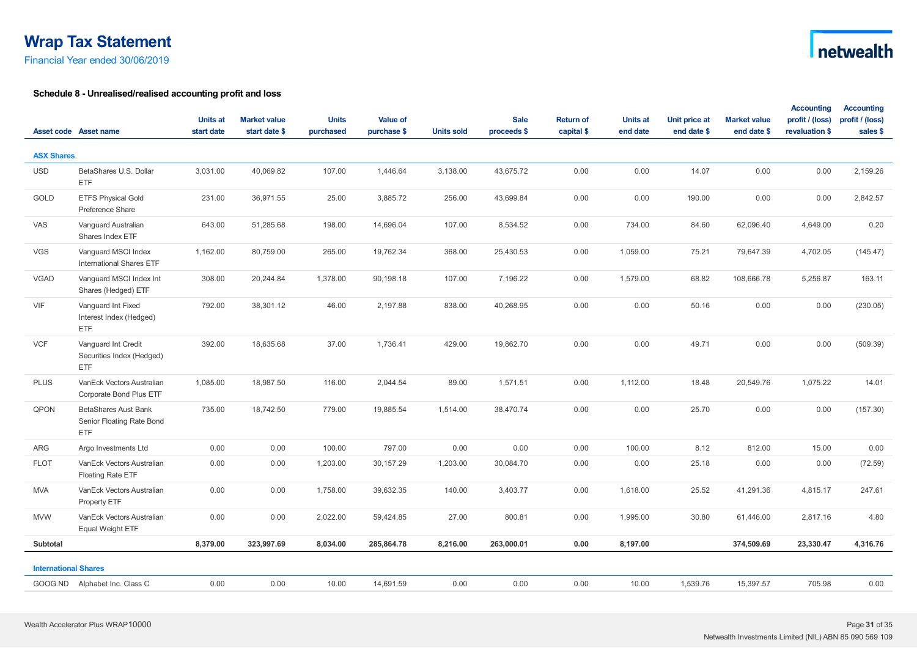Financial Year ended 30/06/2019

# netwealth

### **Schedule 8 - Unrealised/realised accounting profit and loss**

|                             |                                                                        | <b>Units at</b> | <b>Market value</b> | <b>Units</b> | <b>Value of</b> |                   | <b>Sale</b> | <b>Return of</b> | <b>Units at</b> | Unit price at | <b>Market value</b> | <b>Accounting</b><br>profit / (loss) | <b>Accounting</b><br>profit / (loss) |
|-----------------------------|------------------------------------------------------------------------|-----------------|---------------------|--------------|-----------------|-------------------|-------------|------------------|-----------------|---------------|---------------------|--------------------------------------|--------------------------------------|
|                             | Asset code Asset name                                                  | start date      | start date \$       | purchased    | purchase \$     | <b>Units sold</b> | proceeds \$ | capital \$       | end date        | end date \$   | end date \$         | revaluation \$                       | sales \$                             |
| <b>ASX Shares</b>           |                                                                        |                 |                     |              |                 |                   |             |                  |                 |               |                     |                                      |                                      |
| <b>USD</b>                  | BetaShares U.S. Dollar<br>ETF                                          | 3,031.00        | 40,069.82           | 107.00       | 1,446.64        | 3,138.00          | 43,675.72   | 0.00             | 0.00            | 14.07         | 0.00                | 0.00                                 | 2,159.26                             |
| GOLD                        | <b>ETFS Physical Gold</b><br>Preference Share                          | 231.00          | 36,971.55           | 25.00        | 3,885.72        | 256.00            | 43,699.84   | 0.00             | 0.00            | 190.00        | 0.00                | 0.00                                 | 2,842.57                             |
| VAS                         | Vanguard Australian<br>Shares Index ETF                                | 643.00          | 51,285.68           | 198.00       | 14,696.04       | 107.00            | 8,534.52    | 0.00             | 734.00          | 84.60         | 62,096.40           | 4,649.00                             | 0.20                                 |
| <b>VGS</b>                  | Vanguard MSCI Index<br><b>International Shares ETF</b>                 | 1,162.00        | 80,759.00           | 265.00       | 19,762.34       | 368.00            | 25,430.53   | 0.00             | 1,059.00        | 75.21         | 79,647.39           | 4,702.05                             | (145.47)                             |
| <b>VGAD</b>                 | Vanguard MSCI Index Int<br>Shares (Hedged) ETF                         | 308.00          | 20,244.84           | 1,378.00     | 90,198.18       | 107.00            | 7,196.22    | 0.00             | 1,579.00        | 68.82         | 108,666.78          | 5,256.87                             | 163.11                               |
| <b>VIF</b>                  | Vanguard Int Fixed<br>Interest Index (Hedged)<br>ETF                   | 792.00          | 38,301.12           | 46.00        | 2,197.88        | 838.00            | 40,268.95   | 0.00             | 0.00            | 50.16         | 0.00                | 0.00                                 | (230.05)                             |
| <b>VCF</b>                  | Vanguard Int Credit<br>Securities Index (Hedged)<br><b>ETF</b>         | 392.00          | 18,635.68           | 37.00        | 1,736.41        | 429.00            | 19,862.70   | 0.00             | 0.00            | 49.71         | 0.00                | 0.00                                 | (509.39)                             |
| <b>PLUS</b>                 | VanEck Vectors Australian<br>Corporate Bond Plus ETF                   | 1,085.00        | 18,987.50           | 116.00       | 2,044.54        | 89.00             | 1,571.51    | 0.00             | 1,112.00        | 18.48         | 20,549.76           | 1,075.22                             | 14.01                                |
| QPON                        | <b>BetaShares Aust Bank</b><br>Senior Floating Rate Bond<br><b>ETF</b> | 735.00          | 18,742.50           | 779.00       | 19,885.54       | 1,514.00          | 38,470.74   | 0.00             | 0.00            | 25.70         | 0.00                | 0.00                                 | (157.30)                             |
| ARG                         | Argo Investments Ltd                                                   | 0.00            | 0.00                | 100.00       | 797.00          | 0.00              | 0.00        | 0.00             | 100.00          | 8.12          | 812.00              | 15.00                                | 0.00                                 |
| <b>FLOT</b>                 | VanEck Vectors Australian<br><b>Floating Rate ETF</b>                  | 0.00            | 0.00                | 1,203.00     | 30,157.29       | 1,203.00          | 30,084.70   | 0.00             | 0.00            | 25.18         | 0.00                | 0.00                                 | (72.59)                              |
| <b>MVA</b>                  | VanEck Vectors Australian<br>Property ETF                              | 0.00            | 0.00                | 1,758.00     | 39,632.35       | 140.00            | 3,403.77    | 0.00             | 1,618.00        | 25.52         | 41,291.36           | 4,815.17                             | 247.61                               |
| <b>MVW</b>                  | VanEck Vectors Australian<br>Equal Weight ETF                          | 0.00            | 0.00                | 2,022.00     | 59,424.85       | 27.00             | 800.81      | 0.00             | 1,995.00        | 30.80         | 61,446.00           | 2,817.16                             | 4.80                                 |
| Subtotal                    |                                                                        | 8,379.00        | 323,997.69          | 8,034.00     | 285,864.78      | 8,216.00          | 263,000.01  | 0.00             | 8,197.00        |               | 374,509.69          | 23,330.47                            | 4,316.76                             |
| <b>International Shares</b> |                                                                        |                 |                     |              |                 |                   |             |                  |                 |               |                     |                                      |                                      |
|                             | GOOG.ND Alphabet Inc. Class C                                          | 0.00            | 0.00                | 10.00        | 14,691.59       | 0.00              | 0.00        | 0.00             | 10.00           | 1,539.76      | 15,397.57           | 705.98                               | 0.00                                 |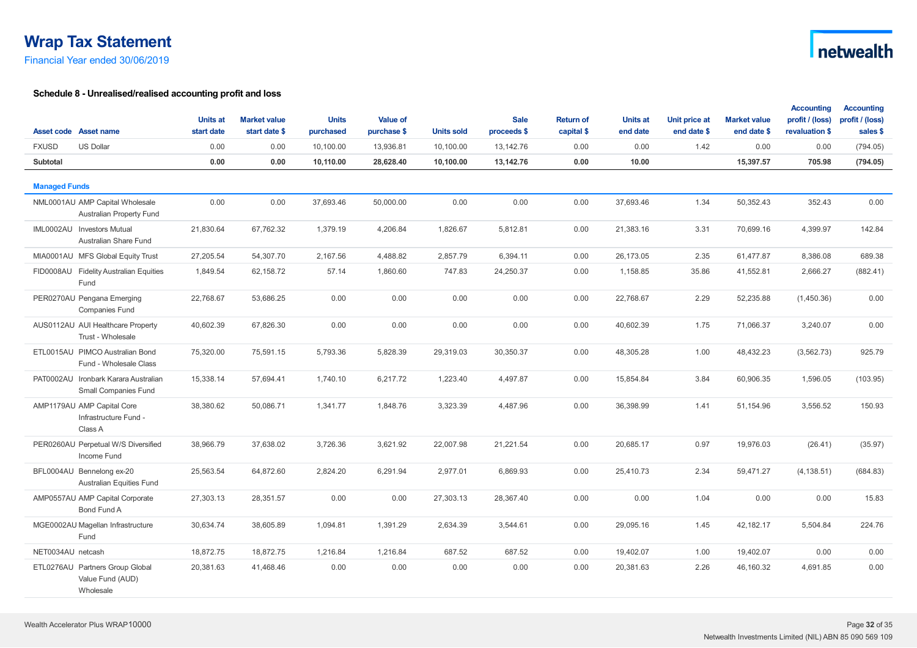Financial Year ended 30/06/2019

### **Schedule 8 - Unrealised/realised accounting profit and loss**

|                      |                                                                  | <b>Units at</b> | <b>Market value</b> | <b>Units</b> | <b>Value of</b> |                   | <b>Sale</b> | <b>Return of</b> | <b>Units at</b> | Unit price at | <b>Market value</b> | <b>Accounting</b><br>profit / (loss) | <b>Accounting</b><br>profit / (loss) |
|----------------------|------------------------------------------------------------------|-----------------|---------------------|--------------|-----------------|-------------------|-------------|------------------|-----------------|---------------|---------------------|--------------------------------------|--------------------------------------|
|                      | Asset code Asset name                                            | start date      | start date \$       | purchased    | purchase \$     | <b>Units sold</b> | proceeds \$ | capital \$       | end date        | end date \$   | end date \$         | revaluation \$                       | sales \$                             |
| <b>FXUSD</b>         | <b>US Dollar</b>                                                 | 0.00            | 0.00                | 10,100.00    | 13,936.81       | 10,100.00         | 13,142.76   | 0.00             | 0.00            | 1.42          | 0.00                | 0.00                                 | (794.05)                             |
| Subtotal             |                                                                  | 0.00            | 0.00                | 10,110.00    | 28,628.40       | 10,100.00         | 13,142.76   | 0.00             | 10.00           |               | 15,397.57           | 705.98                               | (794.05)                             |
| <b>Managed Funds</b> |                                                                  |                 |                     |              |                 |                   |             |                  |                 |               |                     |                                      |                                      |
|                      | NML0001AU AMP Capital Wholesale<br>Australian Property Fund      | 0.00            | 0.00                | 37,693.46    | 50.000.00       | 0.00              | 0.00        | 0.00             | 37,693.46       | 1.34          | 50,352.43           | 352.43                               | 0.00                                 |
|                      | IML0002AU Investors Mutual<br>Australian Share Fund              | 21,830.64       | 67,762.32           | 1,379.19     | 4,206.84        | 1,826.67          | 5,812.81    | 0.00             | 21,383.16       | 3.31          | 70,699.16           | 4,399.97                             | 142.84                               |
|                      | MIA0001AU MFS Global Equity Trust                                | 27,205.54       | 54,307.70           | 2,167.56     | 4,488.82        | 2,857.79          | 6,394.11    | 0.00             | 26,173.05       | 2.35          | 61,477.87           | 8,386.08                             | 689.38                               |
|                      | FID0008AU Fidelity Australian Equities<br>Fund                   | 1,849.54        | 62,158.72           | 57.14        | 1,860.60        | 747.83            | 24,250.37   | 0.00             | 1,158.85        | 35.86         | 41,552.81           | 2,666.27                             | (882.41)                             |
|                      | PER0270AU Pengana Emerging<br>Companies Fund                     | 22,768.67       | 53,686.25           | 0.00         | 0.00            | 0.00              | 0.00        | 0.00             | 22,768.67       | 2.29          | 52,235.88           | (1,450.36)                           | 0.00                                 |
|                      | AUS0112AU AUI Healthcare Property<br>Trust - Wholesale           | 40,602.39       | 67,826.30           | 0.00         | 0.00            | 0.00              | 0.00        | 0.00             | 40,602.39       | 1.75          | 71,066.37           | 3,240.07                             | 0.00                                 |
|                      | ETL0015AU PIMCO Australian Bond<br>Fund - Wholesale Class        | 75,320.00       | 75,591.15           | 5,793.36     | 5,828.39        | 29,319.03         | 30,350.37   | 0.00             | 48,305.28       | 1.00          | 48,432.23           | (3, 562.73)                          | 925.79                               |
|                      | PAT0002AU Ironbark Karara Australian<br>Small Companies Fund     | 15,338.14       | 57,694.41           | 1,740.10     | 6,217.72        | 1,223.40          | 4,497.87    | 0.00             | 15,854.84       | 3.84          | 60,906.35           | 1,596.05                             | (103.95)                             |
|                      | AMP1179AU AMP Capital Core<br>Infrastructure Fund -<br>Class A   | 38,380.62       | 50,086.71           | 1,341.77     | 1,848.76        | 3,323.39          | 4,487.96    | 0.00             | 36,398.99       | 1.41          | 51,154.96           | 3,556.52                             | 150.93                               |
|                      | PER0260AU Perpetual W/S Diversified<br>Income Fund               | 38,966.79       | 37,638.02           | 3,726.36     | 3,621.92        | 22,007.98         | 21,221.54   | 0.00             | 20,685.17       | 0.97          | 19,976.03           | (26.41)                              | (35.97)                              |
|                      | BFL0004AU Bennelong ex-20<br>Australian Equities Fund            | 25,563.54       | 64,872.60           | 2,824.20     | 6,291.94        | 2,977.01          | 6,869.93    | 0.00             | 25,410.73       | 2.34          | 59,471.27           | (4, 138.51)                          | (684.83)                             |
|                      | AMP0557AU AMP Capital Corporate<br>Bond Fund A                   | 27,303.13       | 28,351.57           | 0.00         | 0.00            | 27,303.13         | 28,367.40   | 0.00             | 0.00            | 1.04          | 0.00                | 0.00                                 | 15.83                                |
|                      | MGE0002AU Magellan Infrastructure<br>Fund                        | 30,634.74       | 38,605.89           | 1,094.81     | 1,391.29        | 2,634.39          | 3,544.61    | 0.00             | 29,095.16       | 1.45          | 42,182.17           | 5,504.84                             | 224.76                               |
| NET0034AU netcash    |                                                                  | 18,872.75       | 18,872.75           | 1,216.84     | 1,216.84        | 687.52            | 687.52      | 0.00             | 19,402.07       | 1.00          | 19,402.07           | 0.00                                 | 0.00                                 |
|                      | ETL0276AU Partners Group Global<br>Value Fund (AUD)<br>Wholesale | 20,381.63       | 41,468.46           | 0.00         | 0.00            | 0.00              | 0.00        | 0.00             | 20,381.63       | 2.26          | 46,160.32           | 4,691.85                             | 0.00                                 |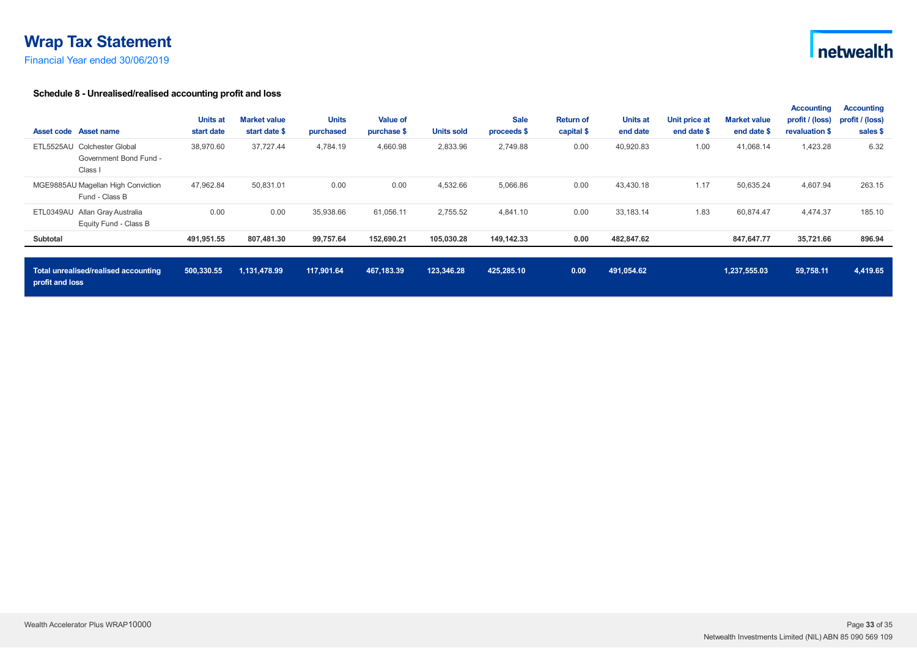Financial Year ended 30/06/2019

# netwealth

### **Schedule 8 - Unrealised/realised accounting profit and loss**

| Asset code Asset name<br>Colchester Global<br><b>ETL5525AU</b><br>Government Bond Fund -<br>Class I | <b>Units at</b><br>start date<br>38,970.60 | <b>Market value</b><br>start date \$<br>37.727.44 | <b>Units</b><br>purchased<br>4,784.19 | <b>Value of</b><br>purchase \$<br>4,660.98 | <b>Units sold</b><br>2,833.96 | <b>Sale</b><br>proceeds \$<br>2,749.88 | <b>Return of</b><br>capital \$<br>0.00 | <b>Units at</b><br>end date<br>40,920.83 | Unit price at<br>end date \$<br>1.00 | <b>Market value</b><br>end date \$<br>41,068.14 | <b>Accounting</b><br>profit / (loss)<br>revaluation \$<br>1,423.28 | <b>Accounting</b><br>profit / (loss)<br>sales \$<br>6.32 |
|-----------------------------------------------------------------------------------------------------|--------------------------------------------|---------------------------------------------------|---------------------------------------|--------------------------------------------|-------------------------------|----------------------------------------|----------------------------------------|------------------------------------------|--------------------------------------|-------------------------------------------------|--------------------------------------------------------------------|----------------------------------------------------------|
| MGE9885AU Magellan High Conviction<br>Fund - Class B                                                | 47,962.84                                  | 50.831.01                                         | 0.00                                  | 0.00                                       | 4,532.66                      | 5,066.86                               | 0.00                                   | 43.430.18                                | 1.17                                 | 50,635.24                                       | 4.607.94                                                           | 263.15                                                   |
| ETL0349AU Allan Gray Australia<br>Equity Fund - Class B                                             | 0.00                                       | 0.00                                              | 35,938.66                             | 61,056.11                                  | 2,755.52                      | 4,841.10                               | 0.00                                   | 33,183.14                                | 1.83                                 | 60,874.47                                       | 4,474.37                                                           | 185.10                                                   |
| Subtotal                                                                                            | 491,951.55                                 | 807,481.30                                        | 99,757.64                             | 152,690.21                                 | 105,030.28                    | 149,142.33                             | 0.00                                   | 482,847.62                               |                                      | 847,647.77                                      | 35,721.66                                                          | 896.94                                                   |
| Total unrealised/realised accounting<br>profit and loss                                             | 500,330.55                                 | 1,131,478.99                                      | 117,901.64                            | 467,183.39                                 | 123,346.28                    | 425,285.10                             | 0.00                                   | 491,054.62                               |                                      | 1,237,555.03                                    | 59,758.11                                                          | 4,419.65                                                 |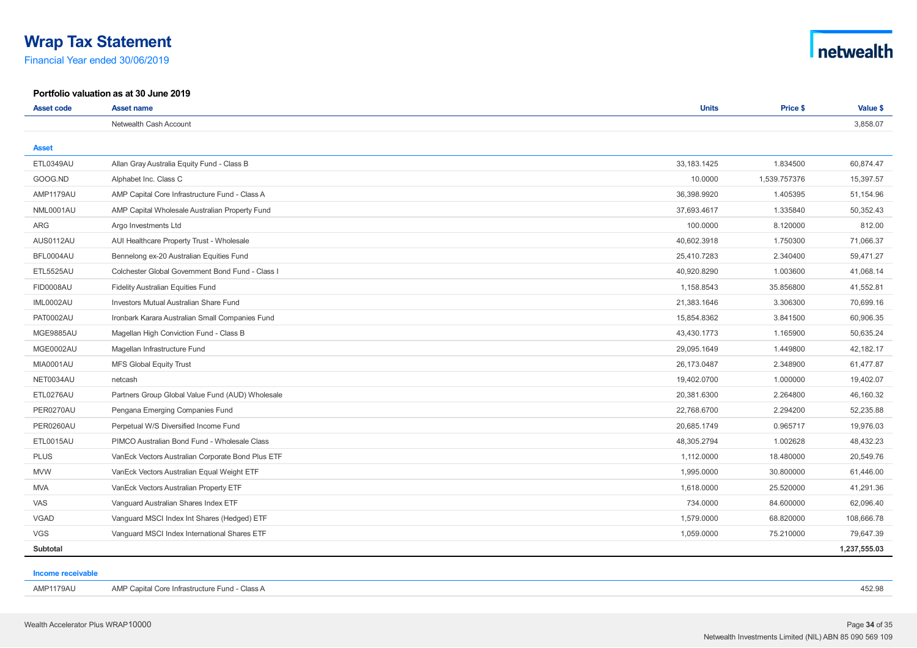Financial Year ended 30/06/2019

#### **Portfolio valuation as at 30 June 2019**

| <b>Asset code</b> | <b>Asset name</b>                                 | <b>Units</b>  | Price \$     | Value \$     |
|-------------------|---------------------------------------------------|---------------|--------------|--------------|
|                   | Netwealth Cash Account                            |               |              | 3,858.07     |
| <b>Asset</b>      |                                                   |               |              |              |
| ETL0349AU         | Allan Gray Australia Equity Fund - Class B        | 33, 183. 1425 | 1.834500     | 60,874.47    |
| GOOG.ND           | Alphabet Inc. Class C                             | 10.0000       | 1,539.757376 | 15,397.57    |
| AMP1179AU         | AMP Capital Core Infrastructure Fund - Class A    | 36,398.9920   | 1.405395     | 51,154.96    |
| NML0001AU         | AMP Capital Wholesale Australian Property Fund    | 37,693.4617   | 1.335840     | 50,352.43    |
| ARG               | Argo Investments Ltd                              | 100.0000      | 8.120000     | 812.00       |
|                   |                                                   |               |              |              |
| AUS0112AU         | AUI Healthcare Property Trust - Wholesale         | 40,602.3918   | 1.750300     | 71.066.37    |
| BFL0004AU         | Bennelong ex-20 Australian Equities Fund          | 25,410.7283   | 2.340400     | 59,471.27    |
| <b>ETL5525AU</b>  | Colchester Global Government Bond Fund - Class I  | 40,920.8290   | 1.003600     | 41,068.14    |
| <b>FID0008AU</b>  | <b>Fidelity Australian Equities Fund</b>          | 1,158.8543    | 35.856800    | 41,552.81    |
| <b>IML0002AU</b>  | <b>Investors Mutual Australian Share Fund</b>     | 21,383.1646   | 3.306300     | 70.699.16    |
| <b>PAT0002AU</b>  | Ironbark Karara Australian Small Companies Fund   | 15,854.8362   | 3.841500     | 60,906.35    |
| MGE9885AU         | Magellan High Conviction Fund - Class B           | 43,430.1773   | 1.165900     | 50,635.24    |
| MGE0002AU         | Magellan Infrastructure Fund                      | 29,095.1649   | 1.449800     | 42,182.17    |
| <b>MIA0001AU</b>  | <b>MFS Global Equity Trust</b>                    | 26,173.0487   | 2.348900     | 61,477.87    |
| NET0034AU         | netcash                                           | 19,402.0700   | 1.000000     | 19,402.07    |
| ETL0276AU         | Partners Group Global Value Fund (AUD) Wholesale  | 20,381.6300   | 2.264800     | 46,160.32    |
| PER0270AU         | Pengana Emerging Companies Fund                   | 22,768.6700   | 2.294200     | 52,235.88    |
| PER0260AU         | Perpetual W/S Diversified Income Fund             | 20,685.1749   | 0.965717     | 19,976.03    |
| ETL0015AU         | PIMCO Australian Bond Fund - Wholesale Class      | 48,305.2794   | 1.002628     | 48,432.23    |
| <b>PLUS</b>       | VanEck Vectors Australian Corporate Bond Plus ETF | 1,112.0000    | 18.480000    | 20,549.76    |
| <b>MVW</b>        | VanEck Vectors Australian Equal Weight ETF        | 1,995.0000    | 30.800000    | 61,446.00    |
| <b>MVA</b>        | VanEck Vectors Australian Property ETF            | 1,618.0000    | 25.520000    | 41,291.36    |
| VAS               | Vanguard Australian Shares Index ETF              | 734.0000      | 84.600000    | 62,096.40    |
| <b>VGAD</b>       | Vanguard MSCI Index Int Shares (Hedged) ETF       | 1,579.0000    | 68.820000    | 108,666.78   |
| <b>VGS</b>        | Vanguard MSCI Index International Shares ETF      | 1,059.0000    | 75.210000    | 79.647.39    |
| Subtotal          |                                                   |               |              | 1,237,555.03 |

| Income receivable |                                                |        |
|-------------------|------------------------------------------------|--------|
| AMP1179AU         | AMP Capital Core Infrastructure Fund - Class A | 452.98 |